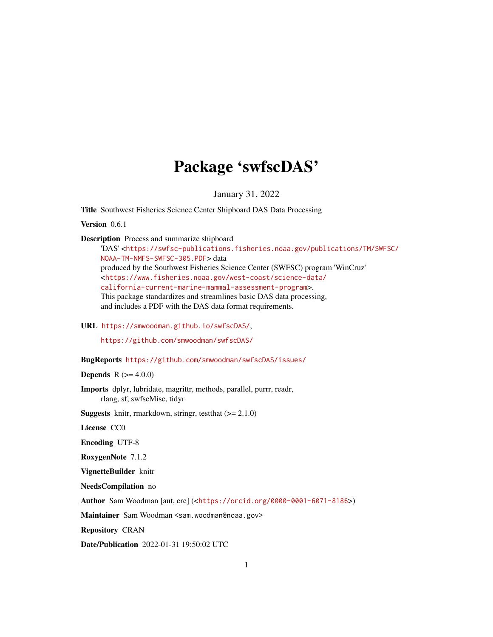## Package 'swfscDAS'

January 31, 2022

<span id="page-0-0"></span>Title Southwest Fisheries Science Center Shipboard DAS Data Processing

Version 0.6.1

Description Process and summarize shipboard

'DAS' <[https://swfsc-publications.fisheries.noaa.gov/publications/TM/SWFSC/](https://swfsc-publications.fisheries.noaa.gov/publications/TM/SWFSC/NOAA-TM-NMFS-SWFSC-305.PDF) [NOAA-TM-NMFS-SWFSC-305.PDF](https://swfsc-publications.fisheries.noaa.gov/publications/TM/SWFSC/NOAA-TM-NMFS-SWFSC-305.PDF)> data produced by the Southwest Fisheries Science Center (SWFSC) program 'WinCruz' <[https://www.fisheries.noaa.gov/west-coast/science-data/](https://www.fisheries.noaa.gov/west-coast/science-data/california-current-marine-mammal-assessment-program) [california-current-marine-mammal-assessment-program](https://www.fisheries.noaa.gov/west-coast/science-data/california-current-marine-mammal-assessment-program)>. This package standardizes and streamlines basic DAS data processing, and includes a PDF with the DAS data format requirements.

URL <https://smwoodman.github.io/swfscDAS/>,

<https://github.com/smwoodman/swfscDAS/>

BugReports <https://github.com/smwoodman/swfscDAS/issues/>

**Depends** R  $(>= 4.0.0)$ 

Imports dplyr, lubridate, magrittr, methods, parallel, purrr, readr, rlang, sf, swfscMisc, tidyr

**Suggests** knitr, rmarkdown, stringr, test that  $(>= 2.1.0)$ 

License CC0

Encoding UTF-8

RoxygenNote 7.1.2

VignetteBuilder knitr

NeedsCompilation no

Author Sam Woodman [aut, cre] (<<https://orcid.org/0000-0001-6071-8186>>)

Maintainer Sam Woodman <sam.woodman@noaa.gov>

Repository CRAN

Date/Publication 2022-01-31 19:50:02 UTC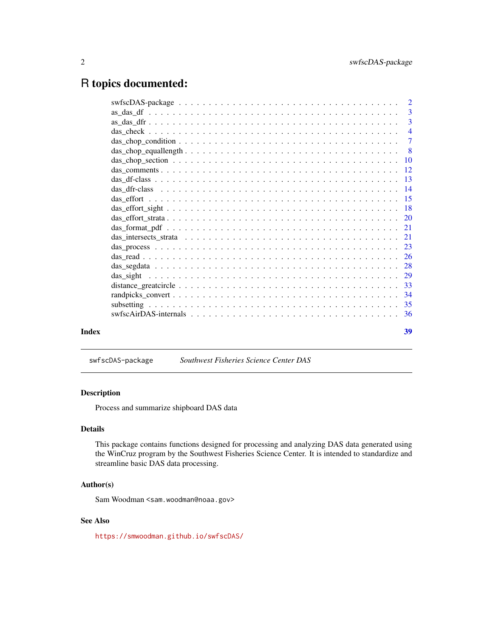## <span id="page-1-0"></span>R topics documented:

|       | $\overline{\mathbf{3}}$   |                |
|-------|---------------------------|----------------|
|       |                           |                |
|       |                           | $\overline{4}$ |
|       |                           |                |
|       | $\overline{\phantom{0}}8$ |                |
|       |                           |                |
|       |                           |                |
|       |                           |                |
|       |                           |                |
|       |                           |                |
|       |                           |                |
|       |                           |                |
|       |                           |                |
|       |                           |                |
|       |                           |                |
|       |                           |                |
|       |                           |                |
|       |                           |                |
|       |                           |                |
|       |                           |                |
|       |                           |                |
|       |                           |                |
| Index | 39                        |                |

## swfscDAS-package *Southwest Fisheries Science Center DAS*

## Description

Process and summarize shipboard DAS data

## Details

This package contains functions designed for processing and analyzing DAS data generated using the WinCruz program by the Southwest Fisheries Science Center. It is intended to standardize and streamline basic DAS data processing.

## Author(s)

Sam Woodman <sam.woodman@noaa.gov>

## See Also

<https://smwoodman.github.io/swfscDAS/>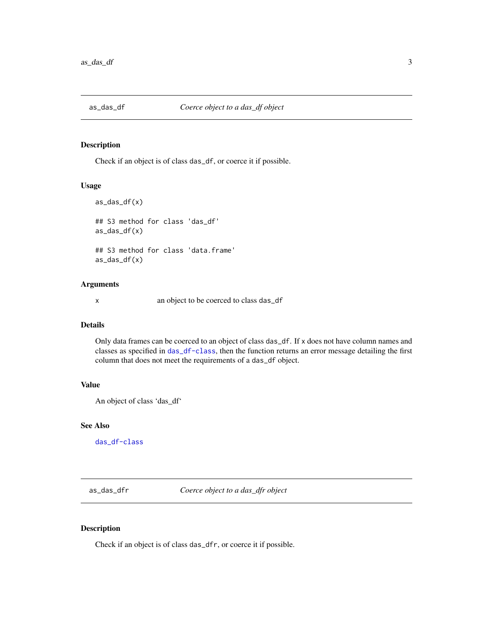<span id="page-2-1"></span><span id="page-2-0"></span>

## Description

Check if an object is of class das\_df, or coerce it if possible.

## Usage

```
as_das_df(x)
## S3 method for class 'das_df'
as\_das\_df(x)## S3 method for class 'data.frame'
as_das_df(x)
```
## Arguments

x an object to be coerced to class das\_df

## Details

Only data frames can be coerced to an object of class das\_df. If x does not have column names and classes as specified in [das\\_df-class](#page-12-1), then the function returns an error message detailing the first column that does not meet the requirements of a das\_df object.

## Value

An object of class 'das\_df'

## See Also

[das\\_df-class](#page-12-1)

<span id="page-2-2"></span>as\_das\_dfr *Coerce object to a das\_dfr object*

#### Description

Check if an object is of class das\_dfr, or coerce it if possible.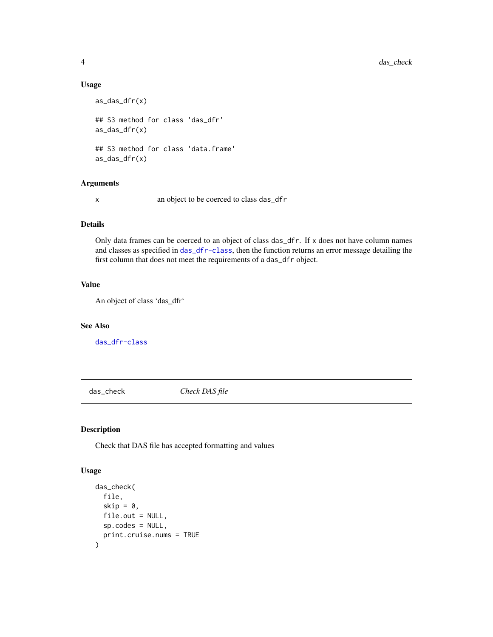#### Usage

```
as_das_dfr(x)
## S3 method for class 'das_dfr'
as_das_dfr(x)
## S3 method for class 'data.frame'
as_das_dfr(x)
```
## Arguments

x an object to be coerced to class das\_dfr

## Details

Only data frames can be coerced to an object of class das\_dfr. If x does not have column names and classes as specified in [das\\_dfr-class](#page-13-1), then the function returns an error message detailing the first column that does not meet the requirements of a das\_dfr object.

## Value

An object of class 'das\_dfr'

## See Also

[das\\_dfr-class](#page-13-1)

das\_check *Check DAS file*

## Description

Check that DAS file has accepted formatting and values

#### Usage

```
das_check(
  file,
  skip = 0,file.out = NULL,
  sp.codes = NULL,
  print.cruise.nums = TRUE
\mathcal{E}
```
<span id="page-3-0"></span>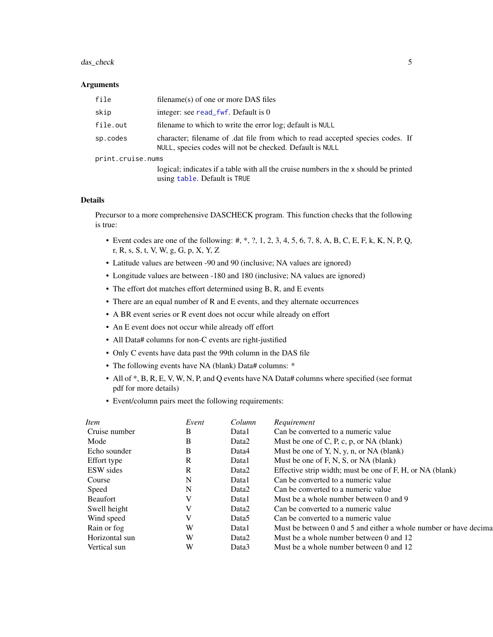## <span id="page-4-0"></span>das\_check 5

#### **Arguments**

| file              | filename(s) of one or more DAS files                                                                                                       |
|-------------------|--------------------------------------------------------------------------------------------------------------------------------------------|
| skip              | integer: see read_fwf. Default is 0                                                                                                        |
| file.out          | filename to which to write the error log; default is NULL                                                                                  |
| sp.codes          | character; filename of .dat file from which to read accepted species codes. If<br>NULL, species codes will not be checked. Default is NULL |
| print.cruise.nums |                                                                                                                                            |
|                   | logical; indicates if a table with all the cruise numbers in the x should be printed<br>using table. Default is TRUE                       |

#### Details

Precursor to a more comprehensive DASCHECK program. This function checks that the following is true:

- Event codes are one of the following:  $\#$ ,  $\frac{4}{3}$ ,  $\frac{4}{3}$ ,  $\frac{5}{4}$ ,  $\frac{5}{4}$ ,  $\frac{6}{5}$ ,  $\frac{7}{8}$ ,  $\frac{8}{8}$ ,  $\frac{8}{8}$ ,  $\frac{8}{8}$ ,  $\frac{8}{8}$ ,  $\frac{8}{8}$ ,  $\frac{8}{8}$ ,  $\frac{8}{8}$ ,  $\frac{8}{8}$ ,  $\frac{8}{8}$ ,  $\frac{8}{8}$ , r, R, s, S, t, V, W, g, G, p, X, Y, Z
- Latitude values are between -90 and 90 (inclusive; NA values are ignored)
- Longitude values are between -180 and 180 (inclusive; NA values are ignored)
- The effort dot matches effort determined using B, R, and E events
- There are an equal number of R and E events, and they alternate occurrences
- A BR event series or R event does not occur while already on effort
- An E event does not occur while already off effort
- All Data# columns for non-C events are right-justified
- Only C events have data past the 99th column in the DAS file
- The following events have NA (blank) Data# columns: \*
- All of \*, B, R, E, V, W, N, P, and Q events have NA Data# columns where specified (see format pdf for more details)
- Event/column pairs meet the following requirements:

| Item            | Event | Column | Requirement                                                      |
|-----------------|-------|--------|------------------------------------------------------------------|
| Cruise number   | В     | Data1  | Can be converted to a numeric value                              |
| Mode            | B     | Data2  | Must be one of C, P, c, p, or NA (blank)                         |
| Echo sounder    | В     | Data4  | Must be one of Y, N, y, n, or NA (blank)                         |
| Effort type     | R     | Data1  | Must be one of F, N, S, or NA (blank)                            |
| ESW sides       | R     | Data2  | Effective strip width; must be one of F, H, or NA (blank)        |
| Course          | N     | Data1  | Can be converted to a numeric value                              |
| Speed           | N     | Data2  | Can be converted to a numeric value                              |
| <b>Beaufort</b> | V     | Data1  | Must be a whole number between 0 and 9                           |
| Swell height    | V     | Data2  | Can be converted to a numeric value                              |
| Wind speed      |       | Data5  | Can be converted to a numeric value                              |
| Rain or fog     | W     | Data1  | Must be between 0 and 5 and either a whole number or have decima |
| Horizontal sun  | W     | Data2  | Must be a whole number between 0 and 12                          |
| Vertical sun    | W     | Data3  | Must be a whole number between 0 and 12                          |
|                 |       |        |                                                                  |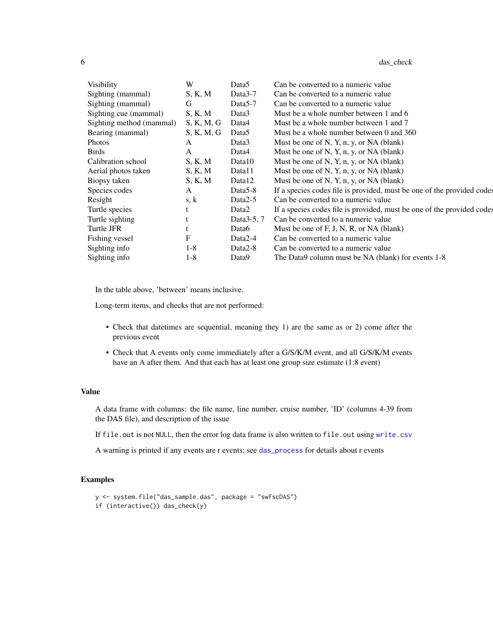<span id="page-5-0"></span>

| ., |  | das check |  |
|----|--|-----------|--|
|----|--|-----------|--|

| <b>Visibility</b>        | W          | Data5                | Can be converted to a numeric value                                    |
|--------------------------|------------|----------------------|------------------------------------------------------------------------|
|                          |            |                      |                                                                        |
| Sighting (mammal)        | S, K, M    | Data3-7              | Can be converted to a numeric value                                    |
| Sighting (mammal)        | G          | Data <sub>5</sub> -7 | Can be converted to a numeric value                                    |
| Sighting cue (mammal)    | S, K, M    | Data3                | Must be a whole number between 1 and 6                                 |
| Sighting method (mammal) | S, K, M, G | Data4                | Must be a whole number between 1 and 7                                 |
| Bearing (mammal)         | S, K, M, G | Data <sub>5</sub>    | Must be a whole number between 0 and 360                               |
| <b>Photos</b>            | A          | Data3                | Must be one of N, Y, n, y, or NA (blank)                               |
| <b>Birds</b>             | A          | Data4                | Must be one of N, Y, n, y, or NA (blank)                               |
| Calibration school       | S, K, M    | Data10               | Must be one of N, Y, n, y, or NA (blank)                               |
| Aerial photos taken      | S, K, M    | Data11               | Must be one of N, Y, n, y, or NA (blank)                               |
| Biopsy taken             | S, K, M    | Data12               | Must be one of N, Y, n, y, or NA (blank)                               |
| Species codes            | A          | Data5-8              | If a species codes file is provided, must be one of the provided codes |
| Resight                  | s, k       | Data2-5              | Can be converted to a numeric value                                    |
| Turtle species           | t          | Data2                | If a species codes file is provided, must be one of the provided codes |
| Turtle sighting          |            | Data3-5, 7           | Can be converted to a numeric value                                    |
| Turtle JFR               | t          | Data6                | Must be one of F, J, N, R, or NA (blank)                               |
| Fishing vessel           | F          | Data2-4              | Can be converted to a numeric value                                    |
| Sighting info            | 1-8        | Data2-8              | Can be converted to a numeric value                                    |
| Sighting info            | $1-8$      | Data9                | The Data9 column must be NA (blank) for events 1-8                     |

In the table above, 'between' means inclusive.

Long-term items, and checks that are not performed:

- Check that datetimes are sequential, meaning they 1) are the same as or 2) come after the previous event
- Check that A events only come immediately after a G/S/K/M event, and all G/S/K/M events have an A after them. And that each has at least one group size estimate (1:8 event)

## Value

A data frame with columns: the file name, line number, cruise number, 'ID' (columns 4-39 from the DAS file), and description of the issue

If file.out is not NULL, then the error log data frame is also written to file.out using [write.csv](#page-0-0)

A warning is printed if any events are r events; see [das\\_process](#page-22-1) for details about r events

#### Examples

```
y <- system.file("das_sample.das", package = "swfscDAS")
if (interactive()) das_check(y)
```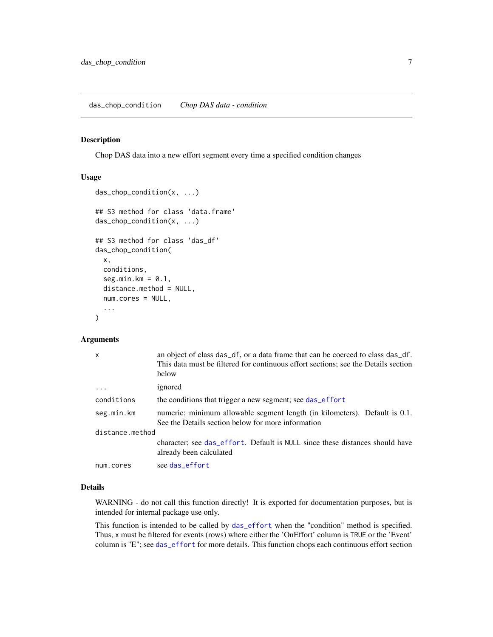#### <span id="page-6-1"></span><span id="page-6-0"></span>Description

Chop DAS data into a new effort segment every time a specified condition changes

## Usage

```
das_chop_condition(x, ...)
## S3 method for class 'data.frame'
das_chop_condition(x, ...)
## S3 method for class 'das_df'
das_chop_condition(
 x,
 conditions,
  seg.min.km = 0.1,
 distance.method = NULL,
 num.cores = NULL,
  ...
\mathcal{L}
```
## Arguments

| $\boldsymbol{\mathsf{x}}$ | an object of class das_df, or a data frame that can be coerced to class das_df.<br>This data must be filtered for continuous effort sections; see the Details section<br>below |
|---------------------------|--------------------------------------------------------------------------------------------------------------------------------------------------------------------------------|
| .                         | ignored                                                                                                                                                                        |
| conditions                | the conditions that trigger a new segment; see das_effort                                                                                                                      |
| seg.min.km                | numeric; minimum allowable segment length (in kilometers). Default is 0.1.<br>See the Details section below for more information                                               |
| distance.method           |                                                                                                                                                                                |
|                           | character; see das_effort. Default is NULL since these distances should have<br>already been calculated                                                                        |
| num.cores                 | see das_effort                                                                                                                                                                 |

#### Details

WARNING - do not call this function directly! It is exported for documentation purposes, but is intended for internal package use only.

This function is intended to be called by [das\\_effort](#page-14-1) when the "condition" method is specified. Thus, x must be filtered for events (rows) where either the 'OnEffort' column is TRUE or the 'Event' column is "E"; see [das\\_effort](#page-14-1) for more details. This function chops each continuous effort section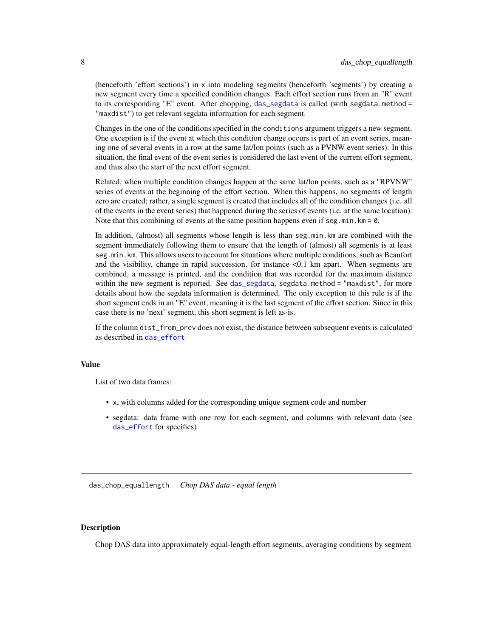<span id="page-7-0"></span>(henceforth 'effort sections') in x into modeling segments (henceforth 'segments') by creating a new segment every time a specified condition changes. Each effort section runs from an "R" event to its corresponding "E" event. After chopping, [das\\_segdata](#page-27-1) is called (with segdata.method = "maxdist") to get relevant segdata information for each segment.

Changes in the one of the conditions specified in the conditions argument triggers a new segment. One exception is if the event at which this condition change occurs is part of an event series, meaning one of several events in a row at the same lat/lon points (such as a PVNW event series). In this situation, the final event of the event series is considered the last event of the current effort segment, and thus also the start of the next effort segment.

Related, when multiple condition changes happen at the same lat/lon points, such as a "RPVNW" series of events at the beginning of the effort section. When this happens, no segments of length zero are created; rather, a single segment is created that includes all of the condition changes (i.e. all of the events in the event series) that happened during the series of events (i.e. at the same location). Note that this combining of events at the same position happens even if seg.min.  $km = 0$ .

In addition, (almost) all segments whose length is less than seg.min.km are combined with the segment immediately following them to ensure that the length of (almost) all segments is at least seg.min.km. This allows users to account for situations where multiple conditions, such as Beaufort and the visibility, change in rapid succession, for instance <0.1 km apart. When segments are combined, a message is printed, and the condition that was recorded for the maximum distance within the new segment is reported. See [das\\_segdata](#page-27-1), segdata.method = "maxdist", for more details about how the segdata information is determined. The only exception to this rule is if the short segment ends in an "E" event, meaning it is the last segment of the effort section. Since in this case there is no 'next' segment, this short segment is left as-is.

If the column dist\_from\_prev does not exist, the distance between subsequent events is calculated as described in [das\\_effort](#page-14-1)

#### Value

List of two data frames:

- x, with columns added for the corresponding unique segment code and number
- segdata: data frame with one row for each segment, and columns with relevant data (see [das\\_effort](#page-14-1) for specifics)

<span id="page-7-1"></span>das\_chop\_equallength *Chop DAS data - equal length*

#### Description

Chop DAS data into approximately equal-length effort segments, averaging conditions by segment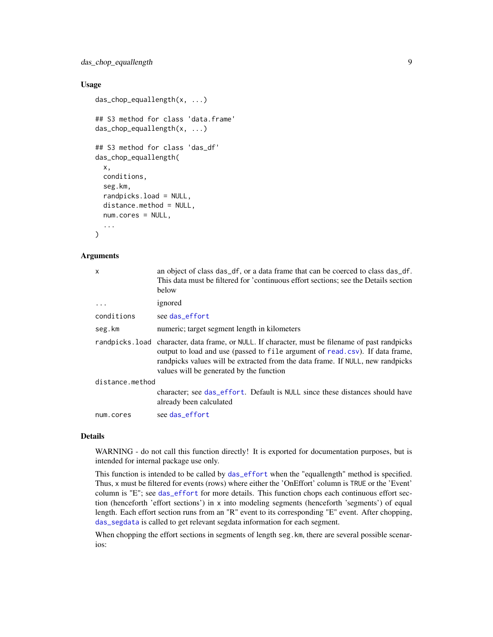<span id="page-8-0"></span>das\_chop\_equallength 9

## Usage

```
das_chop_equallength(x, ...)
## S3 method for class 'data.frame'
das_chop_equallength(x, ...)
## S3 method for class 'das_df'
das_chop_equallength(
  x,
 conditions,
  seg.km,
  randpicks.load = NULL,
 distance.method = NULL,
  num.cores = NULL,
  ...
)
```
## **Arguments**

| x               | an object of class das_df, or a data frame that can be coerced to class das_df.<br>This data must be filtered for 'continuous effort sections; see the Details section<br>below                                                                                                                                |
|-----------------|----------------------------------------------------------------------------------------------------------------------------------------------------------------------------------------------------------------------------------------------------------------------------------------------------------------|
| $\cdots$        | ignored                                                                                                                                                                                                                                                                                                        |
| conditions      | see das_effort                                                                                                                                                                                                                                                                                                 |
| seg.km          | numeric; target segment length in kilometers                                                                                                                                                                                                                                                                   |
|                 | randpicks. load character, data frame, or NULL. If character, must be filename of past randpicks<br>output to load and use (passed to file argument of read.csv). If data frame,<br>randpicks values will be extracted from the data frame. If NULL, new randpicks<br>values will be generated by the function |
| distance.method |                                                                                                                                                                                                                                                                                                                |
|                 | character; see das_effort. Default is NULL since these distances should have<br>already been calculated                                                                                                                                                                                                        |
| num.cores       | see das effort                                                                                                                                                                                                                                                                                                 |
|                 |                                                                                                                                                                                                                                                                                                                |

#### Details

WARNING - do not call this function directly! It is exported for documentation purposes, but is intended for internal package use only.

This function is intended to be called by [das\\_effort](#page-14-1) when the "equallength" method is specified. Thus, x must be filtered for events (rows) where either the 'OnEffort' column is TRUE or the 'Event' column is "E"; see [das\\_effort](#page-14-1) for more details. This function chops each continuous effort section (henceforth 'effort sections') in x into modeling segments (henceforth 'segments') of equal length. Each effort section runs from an "R" event to its corresponding "E" event. After chopping, [das\\_segdata](#page-27-1) is called to get relevant segdata information for each segment.

When chopping the effort sections in segments of length seg. km, there are several possible scenarios: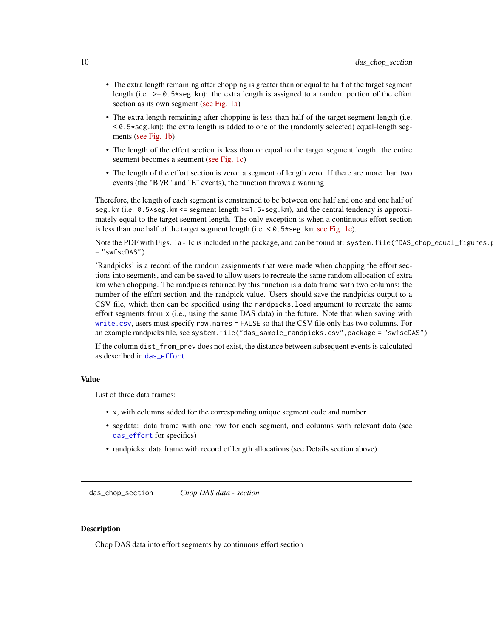- <span id="page-9-0"></span>• The extra length remaining after chopping is greater than or equal to half of the target segment length (i.e.  $>= 0.5*$ seg.km): the extra length is assigned to a random portion of the effort section as its own segment [\(see Fig. 1a\)](https://github.com/smwoodman/swfscDAS/blob/master/inst/DAS_chop_equallength_figures.pdf)
- The extra length remaining after chopping is less than half of the target segment length (i.e.  $< 0.5$ \*seg.km): the extra length is added to one of the (randomly selected) equal-length segments [\(see Fig. 1b\)](https://github.com/smwoodman/swfscDAS/blob/master/inst/DAS_chop_equallength_figures.pdf)
- The length of the effort section is less than or equal to the target segment length: the entire segment becomes a segment [\(see Fig. 1c\)](https://github.com/smwoodman/swfscDAS/blob/master/inst/DAS_chop_equallength_figures.pdf)
- The length of the effort section is zero: a segment of length zero. If there are more than two events (the "B"/R" and "E" events), the function throws a warning

Therefore, the length of each segment is constrained to be between one half and one and one half of seg.km (i.e. 0.5\*seg.km <= segment length >=1.5\*seg.km), and the central tendency is approximately equal to the target segment length. The only exception is when a continuous effort section is less than one half of the target segment length (i.e.  $< 0.5 \times \text{seg.km}$ ; [see Fig. 1c\)](https://github.com/smwoodman/swfscDAS/blob/master/inst/DAS_chop_equallength_figures.pdf).

Note the PDF with Figs. 1a - 1c is included in the package, and can be found at: system.file("DAS\_chop\_equal\_figures. = "swfscDAS")

'Randpicks' is a record of the random assignments that were made when chopping the effort sections into segments, and can be saved to allow users to recreate the same random allocation of extra km when chopping. The randpicks returned by this function is a data frame with two columns: the number of the effort section and the randpick value. Users should save the randpicks output to a CSV file, which then can be specified using the randpicks.load argument to recreate the same effort segments from x (i.e., using the same DAS data) in the future. Note that when saving with [write.csv](#page-0-0), users must specify row.names = FALSE so that the CSV file only has two columns. For an example randpicks file, see system.file("das\_sample\_randpicks.csv",package = "swfscDAS")

If the column dist\_from\_prev does not exist, the distance between subsequent events is calculated as described in [das\\_effort](#page-14-1)

#### Value

List of three data frames:

- x, with columns added for the corresponding unique segment code and number
- segdata: data frame with one row for each segment, and columns with relevant data (see [das\\_effort](#page-14-1) for specifics)
- randpicks: data frame with record of length allocations (see Details section above)

<span id="page-9-1"></span>das\_chop\_section *Chop DAS data - section*

## **Description**

Chop DAS data into effort segments by continuous effort section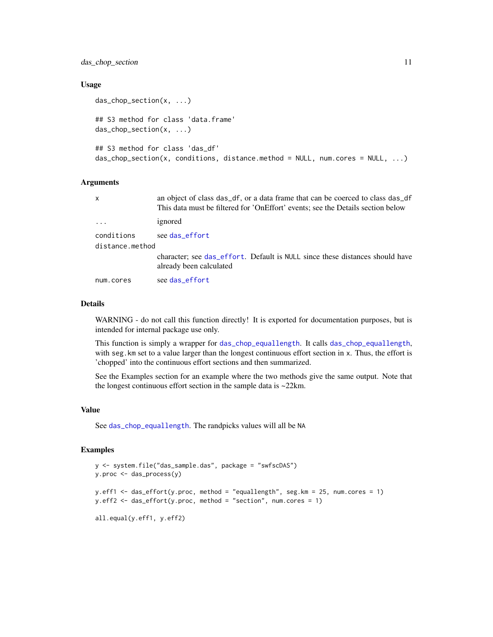<span id="page-10-0"></span>das\_chop\_section 11

#### Usage

```
das_chop_section(x, ...)
## S3 method for class 'data.frame'
das_chop_section(x, ...)
## S3 method for class 'das_df'
das\_chop\_section(x, conditions, distance.method = NULL, num.cores = NULL, ...)
```
#### **Arguments**

| X               | an object of class das_df, or a data frame that can be coerced to class das_df<br>This data must be filtered for 'OnEffort' events; see the Details section below |
|-----------------|-------------------------------------------------------------------------------------------------------------------------------------------------------------------|
| $\ddots$        | ignored                                                                                                                                                           |
| conditions      | see das_effort                                                                                                                                                    |
| distance.method |                                                                                                                                                                   |
|                 | character; see das_effort. Default is NULL since these distances should have<br>already been calculated                                                           |
| num.cores       | see das effort                                                                                                                                                    |

#### Details

WARNING - do not call this function directly! It is exported for documentation purposes, but is intended for internal package use only.

This function is simply a wrapper for [das\\_chop\\_equallength](#page-7-1). It calls [das\\_chop\\_equallength](#page-7-1), with seg. km set to a value larger than the longest continuous effort section in x. Thus, the effort is 'chopped' into the continuous effort sections and then summarized.

See the Examples section for an example where the two methods give the same output. Note that the longest continuous effort section in the sample data is ~22km.

## Value

See [das\\_chop\\_equallength](#page-7-1). The randpicks values will all be NA

#### Examples

```
y <- system.file("das_sample.das", package = "swfscDAS")
y.proc <- das_process(y)
y.eff1 <- das_effort(y.proc, method = "equallength", seg.km = 25, num.cores = 1)
y.eff2 <- das_effort(y.proc, method = "section", num.cores = 1)
all.equal(y.eff1, y.eff2)
```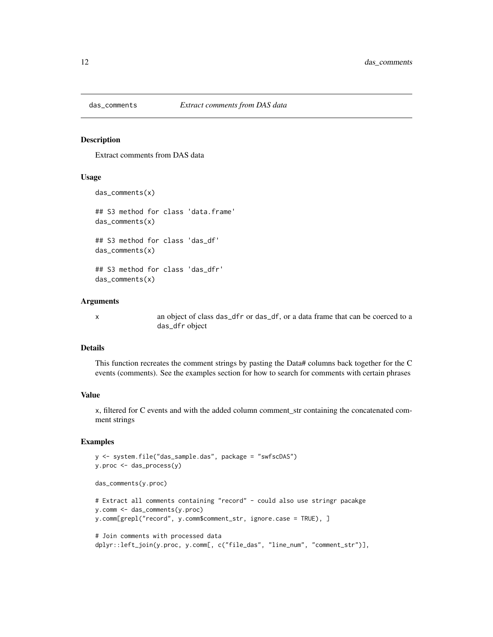<span id="page-11-0"></span>

#### Description

Extract comments from DAS data

## Usage

```
das_comments(x)
## S3 method for class 'data.frame'
das_comments(x)
## S3 method for class 'das_df'
das_comments(x)
## S3 method for class 'das_dfr'
das_comments(x)
```
#### Arguments

x an object of class das\_dfr or das\_df, or a data frame that can be coerced to a das\_dfr object

#### Details

This function recreates the comment strings by pasting the Data# columns back together for the C events (comments). See the examples section for how to search for comments with certain phrases

#### Value

x, filtered for C events and with the added column comment\_str containing the concatenated comment strings

## Examples

```
y <- system.file("das_sample.das", package = "swfscDAS")
y.proc <- das_process(y)
das_comments(y.proc)
# Extract all comments containing "record" - could also use stringr pacakge
y.comm <- das_comments(y.proc)
y.comm[grepl("record", y.comm$comment_str, ignore.case = TRUE), ]
# Join comments with processed data
dplyr::left_join(y.proc, y.comm[, c("file_das", "line_num", "comment_str")],
```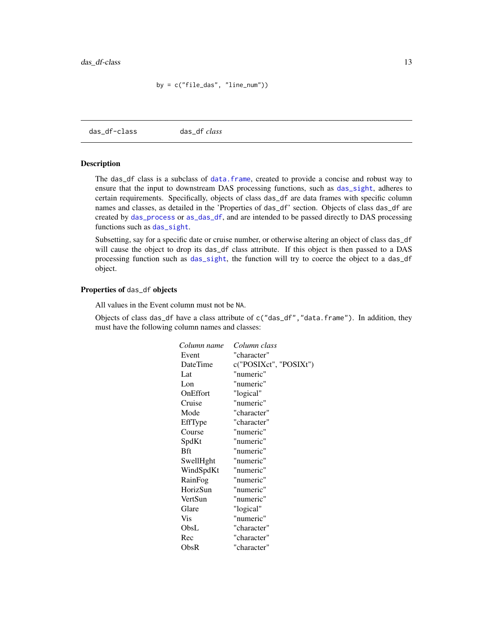by = c("file\_das", "line\_num"))

<span id="page-12-1"></span><span id="page-12-0"></span>das\_df-class das\_df *class*

## Description

The das\_df class is a subclass of [data.frame](#page-0-0), created to provide a concise and robust way to ensure that the input to downstream DAS processing functions, such as [das\\_sight](#page-28-1), adheres to certain requirements. Specifically, objects of class das\_df are data frames with specific column names and classes, as detailed in the 'Properties of das\_df' section. Objects of class das\_df are created by [das\\_process](#page-22-1) or [as\\_das\\_df](#page-2-1), and are intended to be passed directly to DAS processing functions such as [das\\_sight](#page-28-1).

Subsetting, say for a specific date or cruise number, or otherwise altering an object of class das\_df will cause the object to drop its das\_df class attribute. If this object is then passed to a DAS processing function such as [das\\_sight](#page-28-1), the function will try to coerce the object to a das\_df object.

## Properties of das\_df objects

All values in the Event column must not be NA.

Objects of class das\_df have a class attribute of c("das\_df","data.frame"). In addition, they must have the following column names and classes:

| Column name | Column class           |
|-------------|------------------------|
| Event       | "character"            |
| DateTime    | c("POSIXct", "POSIXt") |
| Lat         | "numeric"              |
| Lon         | "numeric"              |
| OnEffort    | "logical"              |
| Cruise      | "numeric"              |
| Mode        | "character"            |
| EffType     | "character"            |
| Course      | "numeric"              |
| SpdKt       | "numeric"              |
| Bft         | "numeric"              |
| SwellHght   | "numeric"              |
| WindSpdKt   | "numeric"              |
| RainFog     | "numeric"              |
| HorizSun    | "numeric"              |
| VertSun     | "numeric"              |
| Glare       | "logical"              |
| <b>Vis</b>  | "numeric"              |
| ObsL        | "character"            |
| Rec         | "character"            |
| ObsR        | "character"            |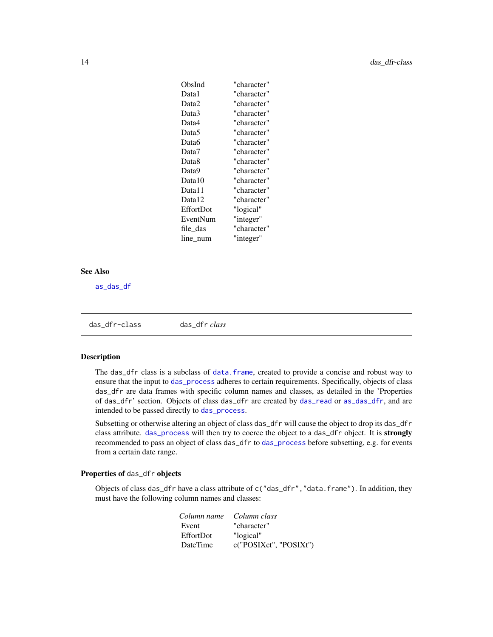<span id="page-13-0"></span>

| "character" |
|-------------|
| "character" |
| "character" |
| "character" |
| "character" |
| "character" |
| "character" |
| "character" |
| "character" |
| "character" |
| "character" |
| "character" |
| "character" |
| "logical"   |
| "integer"   |
| "character" |
| "integer"   |
|             |

#### See Also

[as\\_das\\_df](#page-2-1)

<span id="page-13-1"></span>das\_dfr-class das\_dfr *class*

#### Description

The das\_dfr class is a subclass of [data.frame](#page-0-0), created to provide a concise and robust way to ensure that the input to [das\\_process](#page-22-1) adheres to certain requirements. Specifically, objects of class das\_dfr are data frames with specific column names and classes, as detailed in the 'Properties of das\_dfr' section. Objects of class das\_dfr are created by [das\\_read](#page-25-1) or [as\\_das\\_dfr](#page-2-2), and are intended to be passed directly to [das\\_process](#page-22-1).

Subsetting or otherwise altering an object of class das\_dfr will cause the object to drop its das\_dfr class attribute. [das\\_process](#page-22-1) will then try to coerce the object to a das\_dfr object. It is strongly recommended to pass an object of class das\_dfr to [das\\_process](#page-22-1) before subsetting, e.g. for events from a certain date range.

## Properties of das\_dfr objects

Objects of class das\_dfr have a class attribute of c("das\_dfr","data.frame"). In addition, they must have the following column names and classes:

| Column name | Column class           |
|-------------|------------------------|
| Event       | "character"            |
| EffortDot   | "logical"              |
| DateTime    | c("POSIXct", "POSIXt") |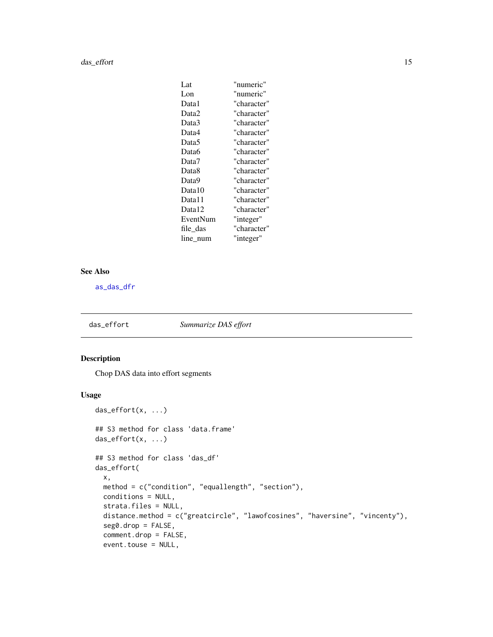#### <span id="page-14-0"></span>das\_effort 15

| Lat               | "numeric"   |
|-------------------|-------------|
| Lon               | "numeric"   |
| Data1             | "character" |
| Data2             | "character" |
| Data3             | "character" |
| Data4             | "character" |
| Data <sub>5</sub> | "character" |
| Data6             | "character" |
| Data7             | "character" |
| Data <sub>8</sub> | "character" |
| Data9             | "character" |
| Data10            | "character" |
| Data11            | "character" |
| Data12            | "character" |
| EventNum          | "integer"   |
| file das          | "character" |
| line num          | "integer"   |

## See Also

[as\\_das\\_dfr](#page-2-2)

<span id="page-14-1"></span>das\_effort *Summarize DAS effort*

## Description

Chop DAS data into effort segments

## Usage

```
das_effort(x, ...)
## S3 method for class 'data.frame'
das_effort(x, ...)
## S3 method for class 'das_df'
das_effort(
 x,
 method = c("condition", "equallength", "section"),
 conditions = NULL,
 strata.files = NULL,
 distance.method = c("greatcircle", "lawofcosines", "haversine", "vincenty"),
  seg0.drop = FALSE,
  comment.drop = FALSE,
 event.touse = NULL,
```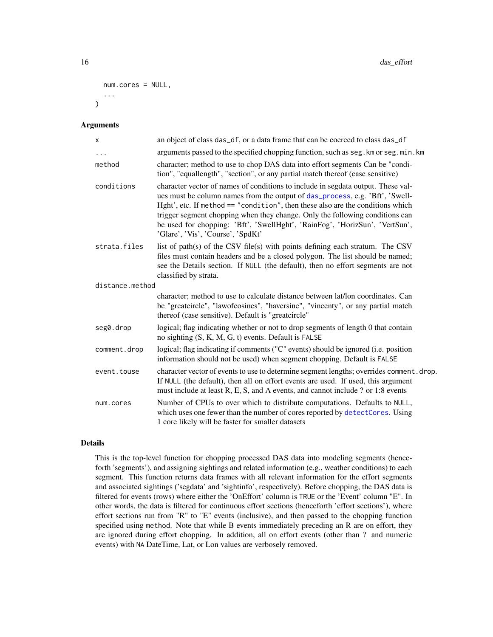```
num.cores = NULL,
   ...
\lambda
```
#### Arguments

| X               | an object of class das_df, or a data frame that can be coerced to class das_df                                                                                                                                                                                                                                                                                                                                                                         |
|-----------------|--------------------------------------------------------------------------------------------------------------------------------------------------------------------------------------------------------------------------------------------------------------------------------------------------------------------------------------------------------------------------------------------------------------------------------------------------------|
| $\cdots$        | arguments passed to the specified chopping function, such as seg. km or seg. min. km                                                                                                                                                                                                                                                                                                                                                                   |
| method          | character; method to use to chop DAS data into effort segments Can be "condi-<br>tion", "equallength", "section", or any partial match thereof (case sensitive)                                                                                                                                                                                                                                                                                        |
| conditions      | character vector of names of conditions to include in segdata output. These val-<br>ues must be column names from the output of das_process, e.g. 'Bft', 'Swell-<br>Hght', etc. If method == "condition", then these also are the conditions which<br>trigger segment chopping when they change. Only the following conditions can<br>be used for chopping: 'Bft', 'SwellHght', 'RainFog', 'HorizSun', 'VertSun',<br>'Glare', 'Vis', 'Course', 'SpdKt' |
| strata.files    | list of path(s) of the CSV file(s) with points defining each stratum. The CSV<br>files must contain headers and be a closed polygon. The list should be named;<br>see the Details section. If NULL (the default), then no effort segments are not<br>classified by strata.                                                                                                                                                                             |
| distance.method |                                                                                                                                                                                                                                                                                                                                                                                                                                                        |
|                 | character; method to use to calculate distance between lat/lon coordinates. Can<br>be "greatcircle", "lawofcosines", "haversine", "vincenty", or any partial match<br>thereof (case sensitive). Default is "greatcircle"                                                                                                                                                                                                                               |
| seg0.drop       | logical; flag indicating whether or not to drop segments of length 0 that contain<br>no sighting (S, K, M, G, t) events. Default is FALSE                                                                                                                                                                                                                                                                                                              |
| comment.drop    | logical; flag indicating if comments ("C" events) should be ignored (i.e. position<br>information should not be used) when segment chopping. Default is FALSE                                                                                                                                                                                                                                                                                          |
| event.touse     | character vector of events to use to determine segment lengths; overrides comment. drop.<br>If NULL (the default), then all on effort events are used. If used, this argument<br>must include at least R, E, S, and A events, and cannot include ? or 1:8 events                                                                                                                                                                                       |
| num.cores       | Number of CPUs to over which to distribute computations. Defaults to NULL,<br>which uses one fewer than the number of cores reported by detectCores. Using<br>1 core likely will be faster for smaller datasets                                                                                                                                                                                                                                        |

## Details

This is the top-level function for chopping processed DAS data into modeling segments (henceforth 'segments'), and assigning sightings and related information (e.g., weather conditions) to each segment. This function returns data frames with all relevant information for the effort segments and associated sightings ('segdata' and 'sightinfo', respectively). Before chopping, the DAS data is filtered for events (rows) where either the 'OnEffort' column is TRUE or the 'Event' column "E". In other words, the data is filtered for continuous effort sections (henceforth 'effort sections'), where effort sections run from "R" to "E" events (inclusive), and then passed to the chopping function specified using method. Note that while B events immediately preceding an R are on effort, they are ignored during effort chopping. In addition, all on effort events (other than ? and numeric events) with NA DateTime, Lat, or Lon values are verbosely removed.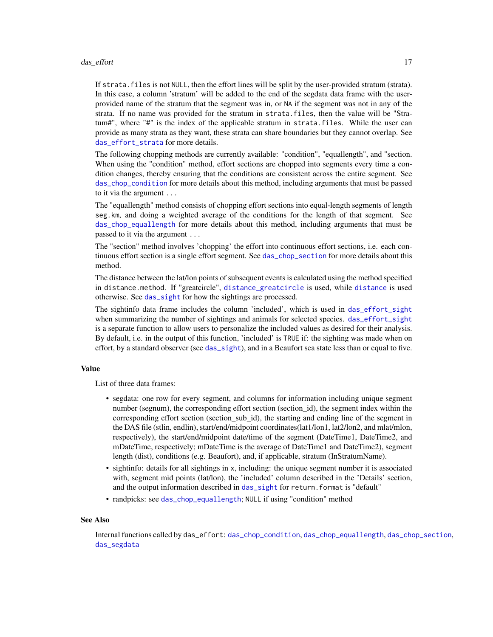#### <span id="page-16-0"></span>das\_effort 17

If strata. files is not NULL, then the effort lines will be split by the user-provided stratum (strata). In this case, a column 'stratum' will be added to the end of the segdata data frame with the userprovided name of the stratum that the segment was in, or NA if the segment was not in any of the strata. If no name was provided for the stratum in strata.files, then the value will be "Stratum#", where "#" is the index of the applicable stratum in strata.files. While the user can provide as many strata as they want, these strata can share boundaries but they cannot overlap. See [das\\_effort\\_strata](#page-19-1) for more details.

The following chopping methods are currently available: "condition", "equallength", and "section. When using the "condition" method, effort sections are chopped into segments every time a condition changes, thereby ensuring that the conditions are consistent across the entire segment. See [das\\_chop\\_condition](#page-6-1) for more details about this method, including arguments that must be passed to it via the argument ...

The "equallength" method consists of chopping effort sections into equal-length segments of length seg.km, and doing a weighted average of the conditions for the length of that segment. See [das\\_chop\\_equallength](#page-7-1) for more details about this method, including arguments that must be passed to it via the argument ...

The "section" method involves 'chopping' the effort into continuous effort sections, i.e. each continuous effort section is a single effort segment. See [das\\_chop\\_section](#page-9-1) for more details about this method.

The distance between the lat/lon points of subsequent events is calculated using the method specified in distance.method. If "greatcircle", [distance\\_greatcircle](#page-32-1) is used, while [distance](#page-0-0) is used otherwise. See [das\\_sight](#page-28-1) for how the sightings are processed.

The sightinfo data frame includes the column 'included', which is used in [das\\_effort\\_sight](#page-17-1) when summarizing the number of sightings and animals for selected species. [das\\_effort\\_sight](#page-17-1) is a separate function to allow users to personalize the included values as desired for their analysis. By default, i.e. in the output of this function, 'included' is TRUE if: the sighting was made when on effort, by a standard observer (see [das\\_sight](#page-28-1)), and in a Beaufort sea state less than or equal to five.

#### Value

List of three data frames:

- segdata: one row for every segment, and columns for information including unique segment number (segnum), the corresponding effort section (section id), the segment index within the corresponding effort section (section sub id), the starting and ending line of the segment in the DAS file (stlin, endlin), start/end/midpoint coordinates(lat1/lon1, lat2/lon2, and mlat/mlon, respectively), the start/end/midpoint date/time of the segment (DateTime1, DateTime2, and mDateTime, respectively; mDateTime is the average of DateTime1 and DateTime2), segment length (dist), conditions (e.g. Beaufort), and, if applicable, stratum (InStratumName).
- sightinfo: details for all sightings in x, including: the unique segment number it is associated with, segment mid points (lat/lon), the 'included' column described in the 'Details' section, and the output information described in [das\\_sight](#page-28-1) for return.format is "default"
- randpicks: see [das\\_chop\\_equallength](#page-7-1); NULL if using "condition" method

#### See Also

Internal functions called by das\_effort: [das\\_chop\\_condition](#page-6-1), [das\\_chop\\_equallength](#page-7-1), [das\\_chop\\_section](#page-9-1), [das\\_segdata](#page-27-1)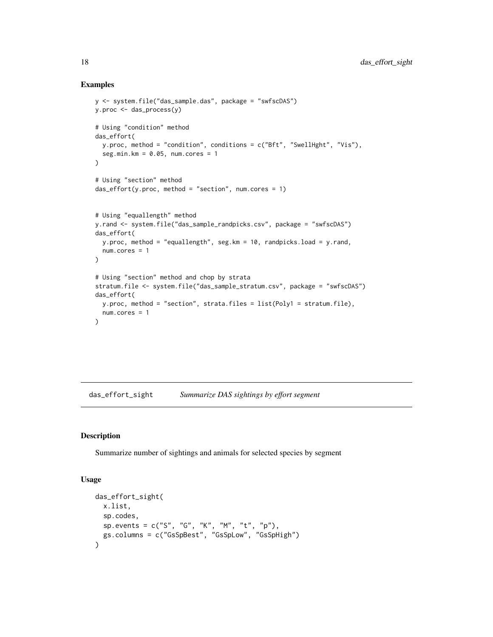## Examples

```
y <- system.file("das_sample.das", package = "swfscDAS")
y.proc <- das_process(y)
# Using "condition" method
das_effort(
 y.proc, method = "condition", conditions = c("Bft", "SwellHght", "Vis"),
  seg.min.km = 0.05, num.cores = 1
\lambda# Using "section" method
das\_effort(y.proc, method = "section", num.core = 1)# Using "equallength" method
y.rand <- system.file("das_sample_randpicks.csv", package = "swfscDAS")
das_effort(
  y.proc, method = "equallength", seg.km = 10, randpicks.load = y.rand,
 num.cores = 1
)
# Using "section" method and chop by strata
stratum.file <- system.file("das_sample_stratum.csv", package = "swfscDAS")
das_effort(
  y.proc, method = "section", strata.files = list(Poly1 = stratum.file),
 num.cores = 1
)
```
<span id="page-17-1"></span>das\_effort\_sight *Summarize DAS sightings by effort segment*

## Description

Summarize number of sightings and animals for selected species by segment

#### Usage

```
das_effort_sight(
 x.list,
 sp.codes,
 sp. events = c("S", "G", "K", "M", "t", "p"),
 gs.columns = c("GsSpBest", "GsSpLow", "GsSpHigh")
)
```
<span id="page-17-0"></span>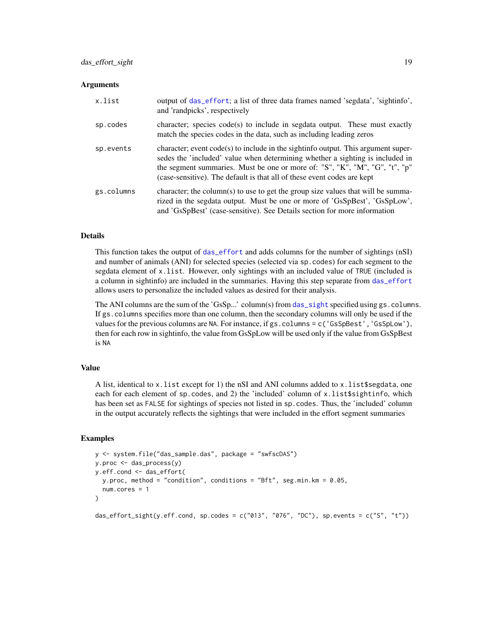#### <span id="page-18-0"></span>**Arguments**

| x.list     | output of das effort; a list of three data frames named 'segdata', 'sightinfo',<br>and 'randpicks', respectively                                                                                                                                                                                                               |
|------------|--------------------------------------------------------------------------------------------------------------------------------------------------------------------------------------------------------------------------------------------------------------------------------------------------------------------------------|
| sp.codes   | character; species code(s) to include in segdata output. These must exactly<br>match the species codes in the data, such as including leading zeros                                                                                                                                                                            |
| sp.events  | character; event $code(s)$ to include in the sightinfo output. This argument super-<br>sedes the 'included' value when determining whether a sighting is included in<br>the segment summaries. Must be one or more of: "S", "K", "M", "G", "t", "p"<br>(case-sensitive). The default is that all of these event codes are kept |
| gs.columns | character; the column(s) to use to get the group size values that will be summa-<br>rized in the segdata output. Must be one or more of 'GsSpBest', 'GsSpLow',<br>and 'GsSpBest' (case-sensitive). See Details section for more information                                                                                    |

#### Details

This function takes the output of [das\\_effort](#page-14-1) and adds columns for the number of sightings (nSI) and number of animals (ANI) for selected species (selected via sp.codes) for each segment to the segdata element of x.list. However, only sightings with an included value of TRUE (included is a column in sightinfo) are included in the summaries. Having this step separate from [das\\_effort](#page-14-1) allows users to personalize the included values as desired for their analysis.

The ANI columns are the sum of the 'GsSp...' column(s) from [das\\_sight](#page-28-1) specified using gs.columns. If gs.columns specifies more than one column, then the secondary columns will only be used if the values for the previous columns are NA. For instance, if gs.columns = c('GsSpBest','GsSpLow'), then for each row in sightinfo, the value from GsSpLow will be used only if the value from GsSpBest is NA

## Value

A list, identical to x.list except for 1) the nSI and ANI columns added to x.list\$segdata, one each for each element of sp.codes, and 2) the 'included' column of x.list\$sightinfo, which has been set as FALSE for sightings of species not listed in sp.codes. Thus, the 'included' column in the output accurately reflects the sightings that were included in the effort segment summaries

#### Examples

```
y <- system.file("das_sample.das", package = "swfscDAS")
y.proc <- das_process(y)
y.eff.cond <- das_effort(
  y.proc, method = "condition", conditions = "Bft", seg.min.km = 0.05,
  num.cores = 1
)
das_effort_sight(y.eff.cond, sp.codes = c("013", "076", "DC"), sp.events = c("S", "t"))
```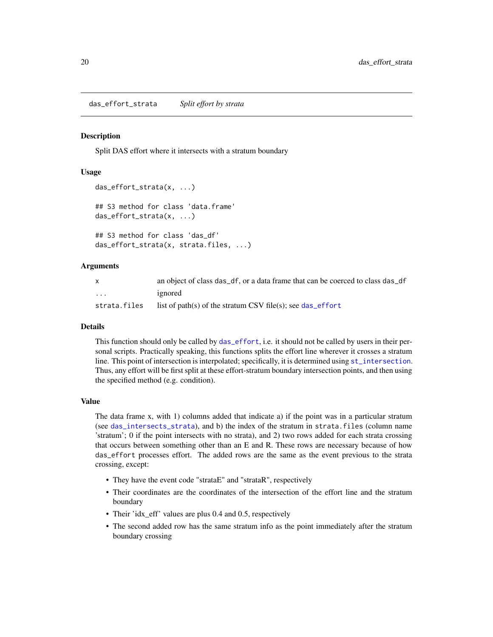<span id="page-19-1"></span><span id="page-19-0"></span>das\_effort\_strata *Split effort by strata*

#### **Description**

Split DAS effort where it intersects with a stratum boundary

#### Usage

```
das_effort_strata(x, ...)
## S3 method for class 'data.frame'
das_effort_strata(x, ...)
## S3 method for class 'das_df'
das_effort_strata(x, strata.files, ...)
```
#### Arguments

|              | an object of class das_df, or a data frame that can be coerced to class das_df |
|--------------|--------------------------------------------------------------------------------|
| .            | ignored                                                                        |
| strata.files | list of path(s) of the stratum CSV file(s); see das_effort                     |

#### Details

This function should only be called by [das\\_effort](#page-14-1), i.e. it should not be called by users in their personal scripts. Practically speaking, this functions splits the effort line wherever it crosses a stratum line. This point of intersection is interpolated; specifically, it is determined using [st\\_intersection](#page-0-0). Thus, any effort will be first split at these effort-stratum boundary intersection points, and then using the specified method (e.g. condition).

#### Value

The data frame x, with 1) columns added that indicate a) if the point was in a particular stratum (see [das\\_intersects\\_strata](#page-20-1)), and b) the index of the stratum in strata.files (column name 'stratum'; 0 if the point intersects with no strata), and 2) two rows added for each strata crossing that occurs between something other than an E and R. These rows are necessary because of how das\_effort processes effort. The added rows are the same as the event previous to the strata crossing, except:

- They have the event code "strataE" and "strataR", respectively
- Their coordinates are the coordinates of the intersection of the effort line and the stratum boundary
- Their 'idx\_eff' values are plus 0.4 and 0.5, respectively
- The second added row has the same stratum info as the point immediately after the stratum boundary crossing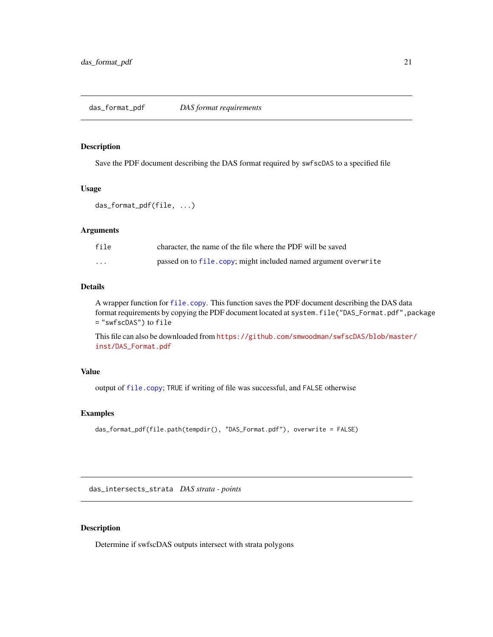## <span id="page-20-2"></span><span id="page-20-0"></span>Description

Save the PDF document describing the DAS format required by swfscDAS to a specified file

#### Usage

```
das_format_pdf(file, ...)
```
## Arguments

| file     | character, the name of the file where the PDF will be saved     |
|----------|-----------------------------------------------------------------|
| $\cdots$ | passed on to file.copy; might included named argument overwrite |

#### Details

A wrapper function for [file.copy](#page-0-0). This function saves the PDF document describing the DAS data format requirements by copying the PDF document located at system.file("DAS\_Format.pdf",package = "swfscDAS") to file

This file can also be downloaded from [https://github.com/smwoodman/swfscDAS/blob/master](https://github.com/smwoodman/swfscDAS/blob/master/inst/DAS_Format.pdf)/ [inst/DAS\\_Format.pdf](https://github.com/smwoodman/swfscDAS/blob/master/inst/DAS_Format.pdf)

## Value

output of [file.copy](#page-0-0); TRUE if writing of file was successful, and FALSE otherwise

### Examples

```
das_format_pdf(file.path(tempdir(), "DAS_Format.pdf"), overwrite = FALSE)
```
<span id="page-20-1"></span>das\_intersects\_strata *DAS strata - points*

## Description

Determine if swfscDAS outputs intersect with strata polygons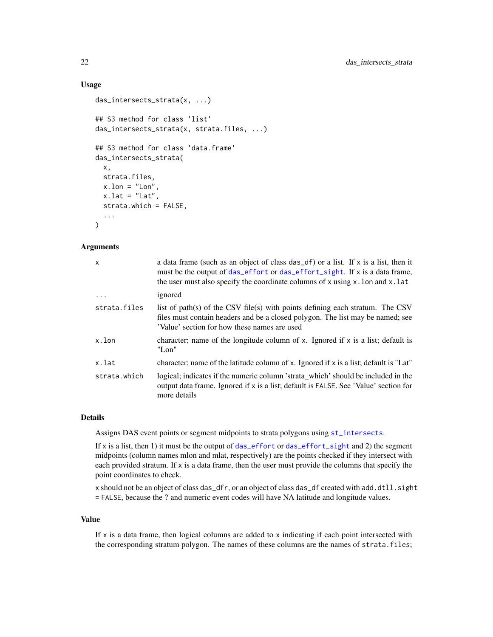## Usage

```
das_intersects_strata(x, ...)
## S3 method for class 'list'
das_intersects_strata(x, strata.files, ...)
## S3 method for class 'data.frame'
das_intersects_strata(
  x,
 strata.files,
 x.lon = "Lon",
 x.lat = "Lat",
  strata.which = FALSE,
  ...
\lambda
```
## Arguments

| $\mathsf{x}$ | a data frame (such as an object of class das_df) or a list. If x is a list, then it<br>must be the output of das_effort or das_effort_sight. If x is a data frame,<br>the user must also specify the coordinate columns of x using $x$ . lon and x. lat |
|--------------|---------------------------------------------------------------------------------------------------------------------------------------------------------------------------------------------------------------------------------------------------------|
| $\ddots$     | ignored                                                                                                                                                                                                                                                 |
| strata.files | list of path(s) of the CSV file(s) with points defining each stratum. The CSV<br>files must contain headers and be a closed polygon. The list may be named; see<br>'Value' section for how these names are used.                                        |
| x.lon        | character; name of the longitude column of x. Ignored if x is a list; default is<br>"Lon"                                                                                                                                                               |
| x.lat        | character; name of the latitude column of x. Ignored if x is a list; default is "Lat"                                                                                                                                                                   |
| strata.which | logical; indicates if the numeric column 'strata_which' should be included in the<br>output data frame. Ignored if x is a list; default is FALSE. See 'Value' section for<br>more details                                                               |

## Details

Assigns DAS event points or segment midpoints to strata polygons using [st\\_intersects](#page-0-0).

If x is a list, then 1) it must be the output of das effort or das effort sight and 2) the segment midpoints (column names mlon and mlat, respectively) are the points checked if they intersect with each provided stratum. If  $x$  is a data frame, then the user must provide the columns that specify the point coordinates to check.

x should not be an object of class das\_dfr, or an object of class das\_df created with add.dtll.sight = FALSE, because the ? and numeric event codes will have NA latitude and longitude values.

#### Value

If  $x$  is a data frame, then logical columns are added to  $x$  indicating if each point intersected with the corresponding stratum polygon. The names of these columns are the names of strata.files;

<span id="page-21-0"></span>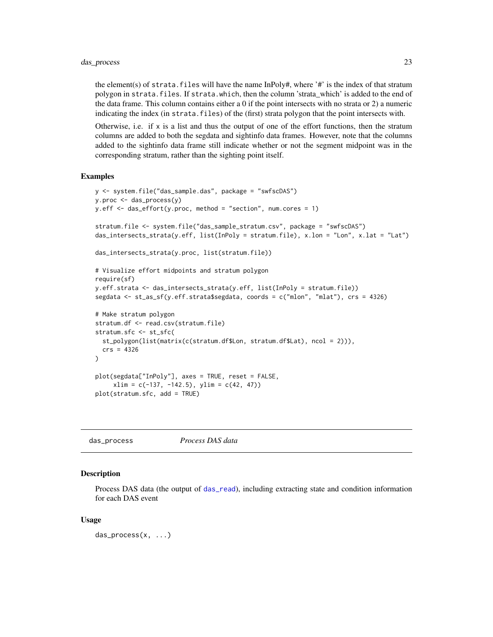### <span id="page-22-0"></span>das\_process 23

the element(s) of strata.files will have the name InPoly#, where '#' is the index of that stratum polygon in strata.files. If strata.which, then the column 'strata\_which' is added to the end of the data frame. This column contains either a 0 if the point intersects with no strata or 2) a numeric indicating the index (in strata.files) of the (first) strata polygon that the point intersects with.

Otherwise, i.e. if x is a list and thus the output of one of the effort functions, then the stratum columns are added to both the segdata and sightinfo data frames. However, note that the columns added to the sightinfo data frame still indicate whether or not the segment midpoint was in the corresponding stratum, rather than the sighting point itself.

## Examples

```
y <- system.file("das_sample.das", package = "swfscDAS")
y.proc <- das_process(y)
y.eff <- das_effort(y.proc, method = "section", num.cores = 1)
stratum.file <- system.file("das_sample_stratum.csv", package = "swfscDAS")
das_intersects_strata(y.eff, list(InPoly = stratum.file), x.lon = "Lon", x.lat = "Lat")
das_intersects_strata(y.proc, list(stratum.file))
# Visualize effort midpoints and stratum polygon
require(sf)
y.eff.strata <- das_intersects_strata(y.eff, list(InPoly = stratum.file))
segdata <- st_as_sf(y.eff.strata$segdata, coords = c("mlon", "mlat"), crs = 4326)
# Make stratum polygon
stratum.df <- read.csv(stratum.file)
stratum.sfc <- st_sfc(
 st_polygon(list(matrix(c(stratum.df$Lon, stratum.df$Lat), ncol = 2))),
 crs = 4326
)
plot(segdata["InPoly"], axes = TRUE, reset = FALSE,
     xlim = c(-137, -142.5), ylim = c(42, 47))plot(stratum.sfc, add = TRUE)
```
<span id="page-22-1"></span>das\_process *Process DAS data*

## Description

Process DAS data (the output of [das\\_read](#page-25-1)), including extracting state and condition information for each DAS event

#### Usage

das\_process(x, ...)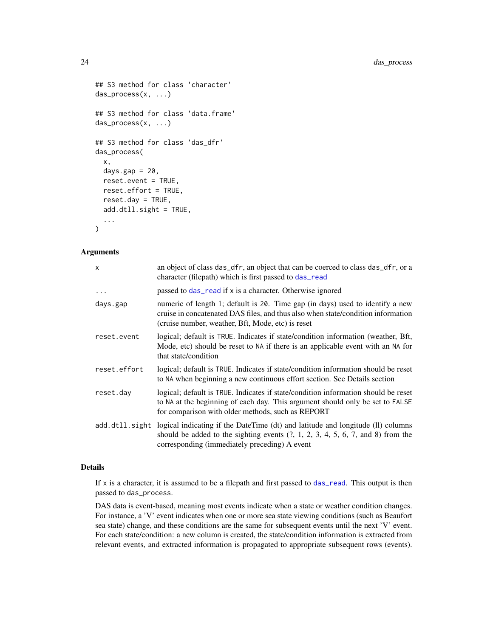```
## S3 method for class 'character'
das_process(x, ...)
## S3 method for class 'data.frame'
das_process(x, ...)
## S3 method for class 'das_dfr'
das_process(
 x,
 days.gap = 20,
 reset.event = TRUE,
  reset.effort = TRUE,
  reset.day = TRUE,
  add.dtll.sight = TRUE,
  ...
)
```
## Arguments

| x            | an object of class das_dfr, an object that can be coerced to class das_dfr, or a<br>character (filepath) which is first passed to das_read                                                                                             |
|--------------|----------------------------------------------------------------------------------------------------------------------------------------------------------------------------------------------------------------------------------------|
| $\ddots$     | passed to das_read if x is a character. Otherwise ignored                                                                                                                                                                              |
| days.gap     | numeric of length 1; default is 20. Time gap (in days) used to identify a new<br>cruise in concatenated DAS files, and thus also when state/condition information<br>(cruise number, weather, Bft, Mode, etc) is reset                 |
| reset.event  | logical; default is TRUE. Indicates if state/condition information (weather, Bft,<br>Mode, etc) should be reset to NA if there is an applicable event with an NA for<br>that state/condition                                           |
| reset.effort | logical; default is TRUE. Indicates if state/condition information should be reset<br>to NA when beginning a new continuous effort section. See Details section                                                                        |
| reset.day    | logical; default is TRUE. Indicates if state/condition information should be reset<br>to NA at the beginning of each day. This argument should only be set to FALSE<br>for comparison with older methods, such as REPORT               |
|              | add. dt11. sight logical indicating if the DateTime (dt) and latitude and longitude (ll) columns<br>should be added to the sighting events $(?, 1, 2, 3, 4, 5, 6, 7, and 8)$ from the<br>corresponding (immediately preceding) A event |

## Details

If  $x$  is a character, it is assumed to be a filepath and first passed to das read. This output is then passed to das\_process.

DAS data is event-based, meaning most events indicate when a state or weather condition changes. For instance, a 'V' event indicates when one or more sea state viewing conditions (such as Beaufort sea state) change, and these conditions are the same for subsequent events until the next 'V' event. For each state/condition: a new column is created, the state/condition information is extracted from relevant events, and extracted information is propagated to appropriate subsequent rows (events).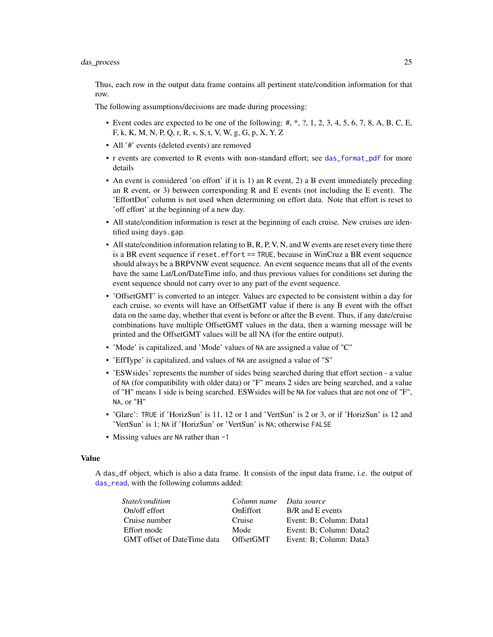<span id="page-24-0"></span>Thus, each row in the output data frame contains all pertinent state/condition information for that row.

The following assumptions/decisions are made during processing:

- Event codes are expected to be one of the following:  $\#$ ,  $\#$ ,  $\pi$ ,  $\pi$ ,  $\pi$ ,  $\pi$ ,  $\pi$ ,  $\pi$ ,  $\pi$ ,  $\pi$ ,  $\pi$ ,  $\pi$ ,  $\pi$ ,  $\pi$ ,  $\pi$ ,  $\pi$ ,  $\pi$ ,  $\pi$ ,  $\pi$ ,  $\pi$ ,  $\pi$ ,  $\pi$ ,  $\pi$ ,  $\pi$ ,  $\pi$ ,  $\pi$ ,  $\pi$ ,  $\pi$ F, k, K, M, N, P, Q, r, R, s, S, t, V, W, g, G, p, X, Y, Z
- All '#' events (deleted events) are removed
- r events are converted to R events with non-standard effort; see [das\\_format\\_pdf](#page-20-2) for more details
- An event is considered 'on effort' if it is 1) an R event, 2) a B event immediately preceding an R event, or 3) between corresponding R and E events (not including the E event). The 'EffortDot' column is not used when determining on effort data. Note that effort is reset to 'off effort' at the beginning of a new day.
- All state/condition information is reset at the beginning of each cruise. New cruises are identified using days.gap.
- All state/condition information relating to B, R, P, V, N, and W events are reset every time there is a BR event sequence if reset.effort == TRUE, because in WinCruz a BR event sequence should always be a BRPVNW event sequence. An event sequence means that all of the events have the same Lat/Lon/DateTime info, and thus previous values for conditions set during the event sequence should not carry over to any part of the event sequence.
- 'OffsetGMT' is converted to an integer. Values are expected to be consistent within a day for each cruise, so events will have an OffsetGMT value if there is any B event with the offset data on the same day, whether that event is before or after the B event. Thus, if any date/cruise combinations have multiple OffsetGMT values in the data, then a warning message will be printed and the OffsetGMT values will be all NA (for the entire output).
- 'Mode' is capitalized, and 'Mode' values of NA are assigned a value of "C"
- 'EffType' is capitalized, and values of NA are assigned a value of "S"
- 'ESWsides' represents the number of sides being searched during that effort section a value of NA (for compatibility with older data) or "F" means 2 sides are being searched, and a value of "H" means 1 side is being searched. ESWsides will be NA for values that are not one of "F", NA, or "H"
- 'Glare': TRUE if 'HorizSun' is 11, 12 or 1 and 'VertSun' is 2 or 3, or if 'HorizSun' is 12 and 'VertSun' is 1; NA if 'HorizSun' or 'VertSun' is NA; otherwise FALSE
- Missing values are NA rather than -1

#### Value

A das\_df object, which is also a data frame. It consists of the input data frame, i.e. the output of [das\\_read](#page-25-1), with the following columns added:

| <i>State/condition</i>             | Column name Data source |                         |
|------------------------------------|-------------------------|-------------------------|
| On/off effort                      | <b>OnEffort</b>         | B/R and E events        |
| Cruise number                      | Cruise                  | Event: B; Column: Data1 |
| Effort mode                        | Mode                    | Event: B: Column: Data2 |
| <b>GMT</b> offset of DateTime data | <b>OffsetGMT</b>        | Event: B; Column: Data3 |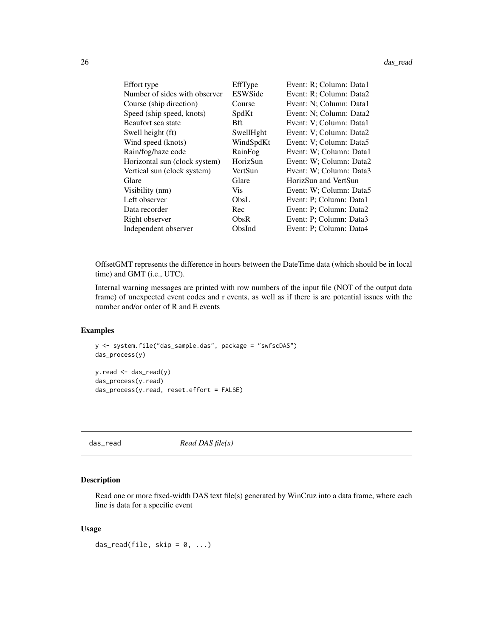#### <span id="page-25-0"></span>26 das read and the contract of the contract of the contract of the contract of the contract of the contract of the contract of the contract of the contract of the contract of the contract of the contract of the contract o

| Effort type                   | EffType        | Event: R; Column: Data1 |
|-------------------------------|----------------|-------------------------|
| Number of sides with observer | <b>ESWSide</b> | Event: R; Column: Data2 |
| Course (ship direction)       | Course         | Event: N; Column: Data1 |
| Speed (ship speed, knots)     | SpdKt          | Event: N; Column: Data2 |
| Beaufort sea state            | Bft.           | Event: V; Column: Data1 |
| Swell height (ft)             | SwellHght      | Event: V; Column: Data2 |
| Wind speed (knots)            | WindSpdKt      | Event: V; Column: Data5 |
| Rain/fog/haze code            | RainFog        | Event: W; Column: Data1 |
| Horizontal sun (clock system) | HorizSun       | Event: W; Column: Data2 |
| Vertical sun (clock system)   | VertSun        | Event: W; Column: Data3 |
| Glare                         | Glare          | HorizSun and VertSun    |
| Visibility (nm)               | <b>Vis</b>     | Event: W; Column: Data5 |
| Left observer                 | ObsL           | Event: P; Column: Data1 |
| Data recorder                 | Rec            | Event: P; Column: Data2 |
| Right observer                | ObsR           | Event: P; Column: Data3 |
| Independent observer          | ObsInd         | Event: P; Column: Data4 |

OffsetGMT represents the difference in hours between the DateTime data (which should be in local time) and GMT (i.e., UTC).

Internal warning messages are printed with row numbers of the input file (NOT of the output data frame) of unexpected event codes and r events, as well as if there is are potential issues with the number and/or order of R and E events

#### Examples

```
y <- system.file("das_sample.das", package = "swfscDAS")
das_process(y)
y.read <- das_read(y)
das_process(y.read)
das_process(y.read, reset.effort = FALSE)
```
<span id="page-25-1"></span>das\_read *Read DAS file(s)*

### Description

Read one or more fixed-width DAS text file(s) generated by WinCruz into a data frame, where each line is data for a specific event

## Usage

das\_read(file, skip =  $0, ...$ )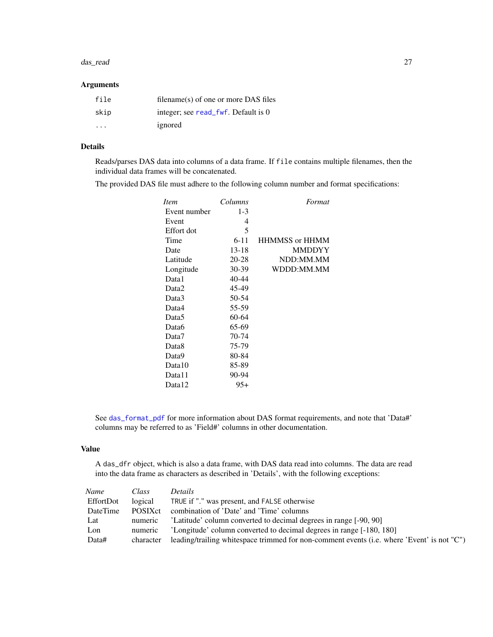#### <span id="page-26-0"></span>das\_read 27

## Arguments

| file | filename(s) of one or more DAS files |
|------|--------------------------------------|
| skip | integer; see read_fwf. Default is 0  |
| .    | ignored                              |

## Details

Reads/parses DAS data into columns of a data frame. If file contains multiple filenames, then the individual data frames will be concatenated.

The provided DAS file must adhere to the following column number and format specifications:

| <i>Item</i>  | Columns   | Format                       |
|--------------|-----------|------------------------------|
| Event number | $1-3$     |                              |
| Event        | 4         |                              |
| Effort dot   | 5         |                              |
| Time         | $6 - 11$  | <b>HHMMSS</b> or <b>HHMM</b> |
| Date         | $13 - 18$ | <b>MMDDYY</b>                |
| Latitude     | 20-28     | NDD:MM.MM                    |
| Longitude    | 30-39     | WDDD:MM.MM                   |
| Data1        | 40-44     |                              |
| Data2        | 45-49     |                              |
| Data3        | 50-54     |                              |
| Data4        | 55-59     |                              |
| Data5        | 60-64     |                              |
| Data6        | 65-69     |                              |
| Data7        | 70-74     |                              |
| Data8        | 75-79     |                              |
| Data9        | 80-84     |                              |
| Data10       | 85-89     |                              |
| Data11       | 90-94     |                              |
| Data12       | 95+       |                              |

See [das\\_format\\_pdf](#page-20-2) for more information about DAS format requirements, and note that 'Data#' columns may be referred to as 'Field#' columns in other documentation.

## Value

A das\_dfr object, which is also a data frame, with DAS data read into columns. The data are read into the data frame as characters as described in 'Details', with the following exceptions:

| Name      | Class           | <i>Details</i>                                                                             |
|-----------|-----------------|--------------------------------------------------------------------------------------------|
| EffortDot | logical         | TRUE if "." was present, and FALSE otherwise                                               |
| DateTime  | <b>POSIX</b> ct | combination of 'Date' and 'Time' columns                                                   |
| Lat       | numeric         | 'Latitude' column converted to decimal degrees in range [-90, 90]                          |
| Lon       | numeric         | 'Longitude' column converted to decimal degrees in range [-180, 180]                       |
| Data#     | character       | leading/trailing whitespace trimmed for non-comment events (i.e. where 'Event' is not "C") |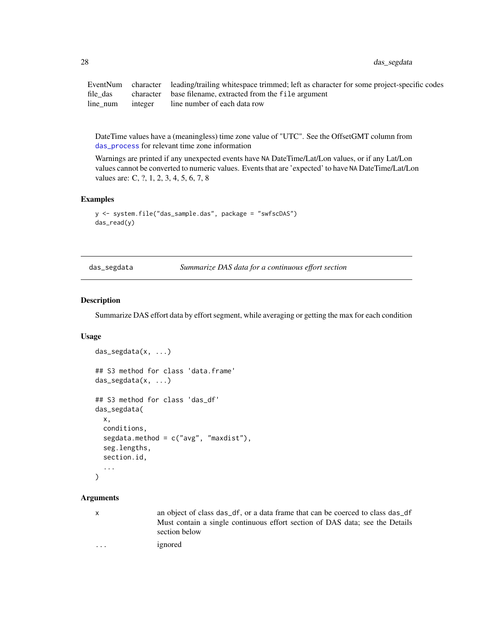<span id="page-27-0"></span>28 das\_segdata

EventNum character leading/trailing whitespace trimmed; left as character for some project-specific codes file\_das character base filename, extracted from the file argument line num integer line number of each data row

DateTime values have a (meaningless) time zone value of "UTC". See the OffsetGMT column from [das\\_process](#page-22-1) for relevant time zone information

Warnings are printed if any unexpected events have NA DateTime/Lat/Lon values, or if any Lat/Lon values cannot be converted to numeric values. Events that are 'expected' to have NA DateTime/Lat/Lon values are: C, ?, 1, 2, 3, 4, 5, 6, 7, 8

#### Examples

```
y <- system.file("das_sample.das", package = "swfscDAS")
das_read(y)
```
<span id="page-27-1"></span>das\_segdata *Summarize DAS data for a continuous effort section*

## Description

Summarize DAS effort data by effort segment, while averaging or getting the max for each condition

#### Usage

```
das_segdata(x, ...)
## S3 method for class 'data.frame'
das_segdata(x, ...)
## S3 method for class 'das_df'
das_segdata(
  x,
  conditions,
  segdata.method = c("avg", "maxdist"),
  seg.lengths,
  section.id,
  ...
)
```
#### **Arguments**

x an object of class das\_df, or a data frame that can be coerced to class das\_df Must contain a single continuous effort section of DAS data; see the Details section below

... ignored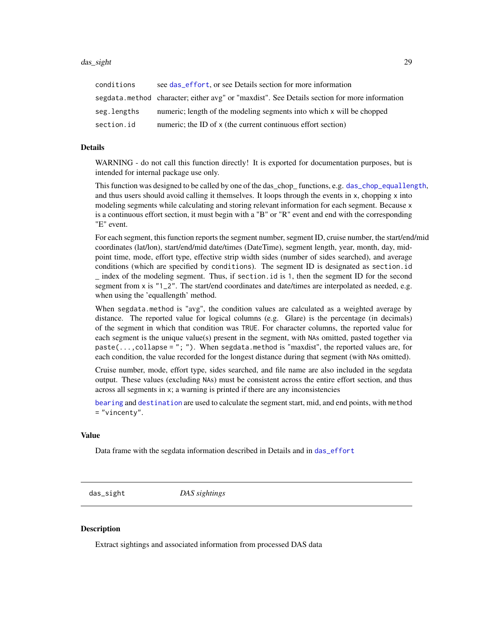<span id="page-28-0"></span>

| conditions  | see das effort, or see Details section for more information                                  |
|-------------|----------------------------------------------------------------------------------------------|
|             | segdata.method character; either avg" or "maxdist". See Details section for more information |
| seg.lengths | numeric; length of the modeling segments into which x will be chopped                        |
| section.id  | numeric; the ID of x (the current continuous effort section)                                 |

#### Details

WARNING - do not call this function directly! It is exported for documentation purposes, but is intended for internal package use only.

This function was designed to be called by one of the das\_chop\_ functions, e.g. [das\\_chop\\_equallength](#page-7-1), and thus users should avoid calling it themselves. It loops through the events in x, chopping x into modeling segments while calculating and storing relevant information for each segment. Because x is a continuous effort section, it must begin with a "B" or "R" event and end with the corresponding "E" event.

For each segment, this function reports the segment number, segment ID, cruise number, the start/end/mid coordinates (lat/lon), start/end/mid date/times (DateTime), segment length, year, month, day, midpoint time, mode, effort type, effective strip width sides (number of sides searched), and average conditions (which are specified by conditions). The segment ID is designated as section.id \_ index of the modeling segment. Thus, if section.id is 1, then the segment ID for the second segment from x is "1\_2". The start/end coordinates and date/times are interpolated as needed, e.g. when using the 'equallength' method.

When segdata.method is "avg", the condition values are calculated as a weighted average by distance. The reported value for logical columns (e.g. Glare) is the percentage (in decimals) of the segment in which that condition was TRUE. For character columns, the reported value for each segment is the unique value(s) present in the segment, with NAs omitted, pasted together via  $paste(..., collapse = "; ")$ . When segdata.method is "maxdist", the reported values are, for each condition, the value recorded for the longest distance during that segment (with NAs omitted).

Cruise number, mode, effort type, sides searched, and file name are also included in the segdata output. These values (excluding NAs) must be consistent across the entire effort section, and thus across all segments in x; a warning is printed if there are any inconsistencies

[bearing](#page-0-0) and [destination](#page-0-0) are used to calculate the segment start, mid, and end points, with method = "vincenty".

#### Value

Data frame with the segdata information described in Details and in [das\\_effort](#page-14-1)

<span id="page-28-1"></span>das\_sight *DAS sightings*

#### **Description**

Extract sightings and associated information from processed DAS data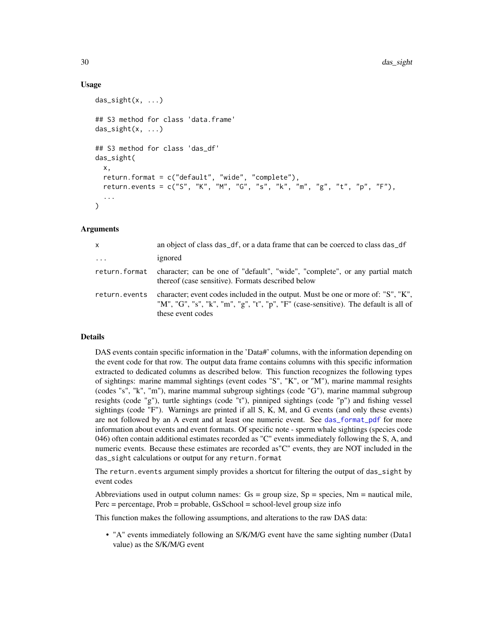#### Usage

```
das\_sight(x, \ldots)## S3 method for class 'data.frame'
das\_sight(x, ...)## S3 method for class 'das_df'
das_sight(
  x,
  return.format = c("default", "wide", "complete"),
  return.events = c("S", "K", "M", "G", "s", "k", "m", "g", "t", "p", "F"),
  ...
)
```
#### Arguments

| $\mathsf{x}$        | an object of class das_df, or a data frame that can be coerced to class das_df                                                                                                               |
|---------------------|----------------------------------------------------------------------------------------------------------------------------------------------------------------------------------------------|
| $\cdot \cdot \cdot$ | ignored                                                                                                                                                                                      |
| return.format       | character; can be one of "default", "wide", "complete", or any partial match<br>thereof (case sensitive). Formats described below                                                            |
| return.events       | character; event codes included in the output. Must be one or more of: "S", "K",<br>"M", "G", "s", "k", "m", "g", "t", "p", "F" (case-sensitive). The default is all of<br>these event codes |

## Details

DAS events contain specific information in the 'Data#' columns, with the information depending on the event code for that row. The output data frame contains columns with this specific information extracted to dedicated columns as described below. This function recognizes the following types of sightings: marine mammal sightings (event codes "S", "K", or "M"), marine mammal resights (codes "s", "k", "m"), marine mammal subgroup sightings (code "G"), marine mammal subgroup resights (code "g"), turtle sightings (code "t"), pinniped sightings (code "p") and fishing vessel sightings (code "F"). Warnings are printed if all S, K, M, and G events (and only these events) are not followed by an A event and at least one numeric event. See [das\\_format\\_pdf](#page-20-2) for more information about events and event formats. Of specific note - sperm whale sightings (species code 046) often contain additional estimates recorded as "C" events immediately following the S, A, and numeric events. Because these estimates are recorded as"C" events, they are NOT included in the das\_sight calculations or output for any return.format

The return.events argument simply provides a shortcut for filtering the output of das\_sight by event codes

Abbreviations used in output column names:  $Gs = group size, Sp = species, Nm = nautical mile,$  $Perc = percentage$ ,  $Prob = probable$ ,  $Gs School = school-level group size info$ 

This function makes the following assumptions, and alterations to the raw DAS data:

• "A" events immediately following an S/K/M/G event have the same sighting number (Data1 value) as the S/K/M/G event

<span id="page-29-0"></span>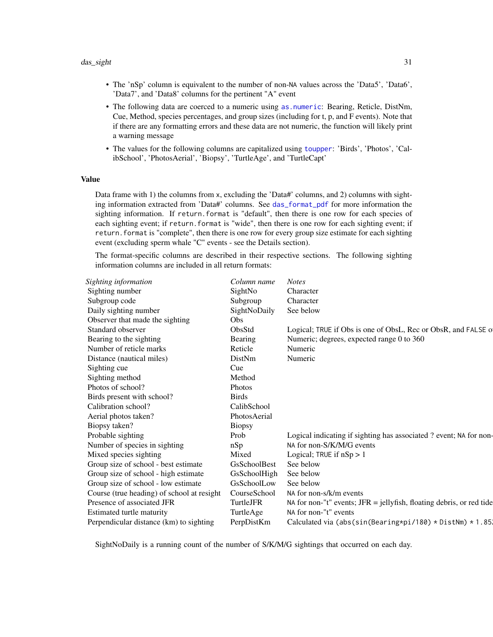- <span id="page-30-0"></span>• The 'nSp' column is equivalent to the number of non-NA values across the 'Data5', 'Data6', 'Data7', and 'Data8' columns for the pertinent "A" event
- The following data are coerced to a numeric using [as.numeric](#page-0-0): Bearing, Reticle, DistNm, Cue, Method, species percentages, and group sizes (including for t, p, and F events). Note that if there are any formatting errors and these data are not numeric, the function will likely print a warning message
- The values for the following columns are capitalized using [toupper](#page-0-0): 'Birds', 'Photos', 'CalibSchool', 'PhotosAerial', 'Biopsy', 'TurtleAge', and 'TurtleCapt'

#### Value

Data frame with 1) the columns from x, excluding the 'Data#' columns, and 2) columns with sighting information extracted from 'Data#' columns. See [das\\_format\\_pdf](#page-20-2) for more information the sighting information. If return.format is "default", then there is one row for each species of each sighting event; if return.format is "wide", then there is one row for each sighting event; if return.format is "complete", then there is one row for every group size estimate for each sighting event (excluding sperm whale "C" events - see the Details section).

The format-specific columns are described in their respective sections. The following sighting information columns are included in all return formats:

| Column name   | <b>Notes</b>                                                           |
|---------------|------------------------------------------------------------------------|
| SightNo       | Character                                                              |
| Subgroup      | Character                                                              |
| SightNoDaily  | See below                                                              |
| Obs           |                                                                        |
| ObsStd        | Logical; TRUE if Obs is one of ObsL, Rec or ObsR, and FALSE of         |
| Bearing       | Numeric; degrees, expected range 0 to 360                              |
| Reticle       | Numeric                                                                |
| DistNm        | Numeric                                                                |
| Cue           |                                                                        |
| Method        |                                                                        |
| <b>Photos</b> |                                                                        |
| <b>Birds</b>  |                                                                        |
| CalibSchool   |                                                                        |
| PhotosAerial  |                                                                        |
| <b>Biopsy</b> |                                                                        |
| Prob          | Logical indicating if sighting has associated ? event; NA for non-     |
| nSp           | NA for non-S/K/M/G events                                              |
| Mixed         | Logical; TRUE if $nSp > 1$                                             |
| GsSchoolBest  | See below                                                              |
| GsSchoolHigh  | See below                                                              |
| GsSchoolLow   | See below                                                              |
| CourseSchool  | NA for non-s/k/m events                                                |
| TurtleJFR     | NA for non-"t" events; $JFR =$ jellyfish, floating debris, or red tide |
| TurtleAge     | NA for non-"t" events                                                  |
| PerpDistKm    | Calculated via (abs(sin(Bearing*pi/180) * DistNm) * 1.85.              |
|               |                                                                        |

SightNoDaily is a running count of the number of S/K/M/G sightings that occurred on each day.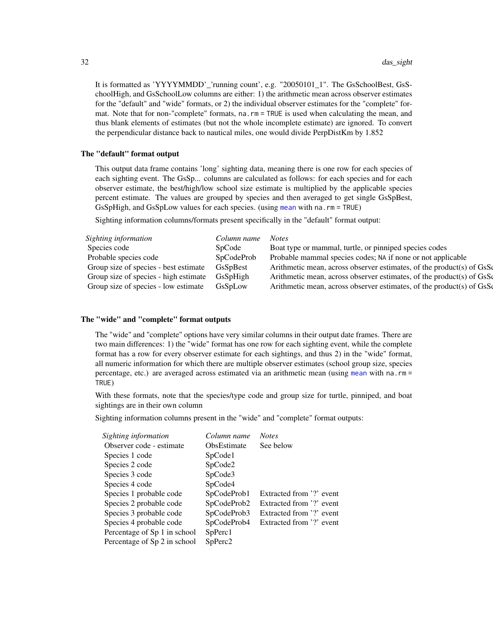It is formatted as 'YYYYMMDD'\_'running count', e.g. "20050101\_1". The GsSchoolBest, GsSchoolHigh, and GsSchoolLow columns are either: 1) the arithmetic mean across observer estimates for the "default" and "wide" formats, or 2) the individual observer estimates for the "complete" format. Note that for non-"complete" formats, na.rm = TRUE is used when calculating the mean, and thus blank elements of estimates (but not the whole incomplete estimate) are ignored. To convert the perpendicular distance back to nautical miles, one would divide PerpDistKm by 1.852

#### The "default" format output

This output data frame contains 'long' sighting data, meaning there is one row for each species of each sighting event. The GsSp... columns are calculated as follows: for each species and for each observer estimate, the best/high/low school size estimate is multiplied by the applicable species percent estimate. The values are grouped by species and then averaged to get single GsSpBest, GsSpHigh, and GsSpLow values for each species. (using [mean](#page-0-0) with na.rm = TRUE)

Sighting information columns/formats present specifically in the "default" format output:

| Sighting information                  | Column name | <b>Notes</b>                                                         |
|---------------------------------------|-------------|----------------------------------------------------------------------|
| Species code                          | SpCode      | Boat type or mammal, turtle, or pinniped species codes               |
| Probable species code                 | SpCodeProb  | Probable mammal species codes; NA if none or not applicable          |
| Group size of species - best estimate | GsSpBest    | Arithmetic mean, across observer estimates, of the product(s) of GsS |
| Group size of species - high estimate | GsSpHigh    | Arithmetic mean, across observer estimates, of the product(s) of GsS |
| Group size of species - low estimate  | GsSpLow     | Arithmetic mean, across observer estimates, of the product(s) of GsS |

## The "wide" and "complete" format outputs

The "wide" and "complete" options have very similar columns in their output date frames. There are two main differences: 1) the "wide" format has one row for each sighting event, while the complete format has a row for every observer estimate for each sightings, and thus 2) in the "wide" format, all numeric information for which there are multiple observer estimates (school group size, species percentage, etc.) are averaged across estimated via an arithmetic mean (using [mean](#page-0-0) with na.rm = TRUE)

With these formats, note that the species/type code and group size for turtle, pinniped, and boat sightings are in their own column

Sighting information columns present in the "wide" and "complete" format outputs:

| Column name         | <b>Notes</b>             |
|---------------------|--------------------------|
| <b>ObsEstimate</b>  | See below                |
| SpCode1             |                          |
| SpCode2             |                          |
| SpCode3             |                          |
| SpCode4             |                          |
| SpCodeProb1         | Extracted from '?' event |
| SpCodeProb2         | Extracted from '?' event |
| SpCodeProb3         | Extracted from '?' event |
| SpCodeProb4         | Extracted from '?' event |
| SpPerc1             |                          |
| SpPerc <sub>2</sub> |                          |
|                     |                          |

<span id="page-31-0"></span>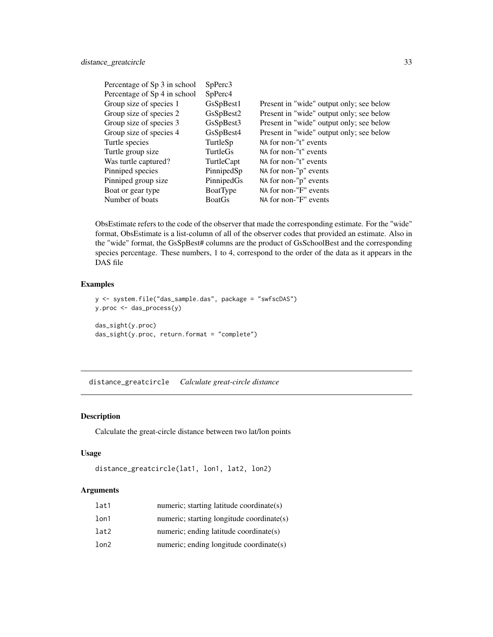<span id="page-32-0"></span>

| Percentage of Sp 3 in school | SpPerc3       |                                          |
|------------------------------|---------------|------------------------------------------|
| Percentage of Sp 4 in school | SpPerc4       |                                          |
| Group size of species 1      | GsSpBest1     | Present in "wide" output only; see below |
| Group size of species 2      | GsSpBest2     | Present in "wide" output only; see below |
| Group size of species 3      | GsSpBest3     | Present in "wide" output only; see below |
| Group size of species 4      | GsSpBest4     | Present in "wide" output only; see below |
| Turtle species               | TurtleSp      | NA for non-"t" events                    |
| Turtle group size            | TurtleGs      | NA for non-"t" events                    |
| Was turtle captured?         | TurtleCapt    | NA for non-"t" events                    |
| Pinniped species             | PinnipedSp    | NA for non-"p" events                    |
| Pinniped group size          | PinnipedGs    | NA for non-"p" events                    |
| Boat or gear type            | BoatType      | NA for non-"F" events                    |
| Number of boats              | <b>BoatGs</b> | NA for non-"F" events                    |

ObsEstimate refers to the code of the observer that made the corresponding estimate. For the "wide" format, ObsEstimate is a list-column of all of the observer codes that provided an estimate. Also in the "wide" format, the GsSpBest# columns are the product of GsSchoolBest and the corresponding species percentage. These numbers, 1 to 4, correspond to the order of the data as it appears in the DAS file

## Examples

```
y <- system.file("das_sample.das", package = "swfscDAS")
y.proc <- das_process(y)
das_sight(y.proc)
das_sight(y.proc, return.format = "complete")
```
<span id="page-32-1"></span>distance\_greatcircle *Calculate great-circle distance*

## Description

Calculate the great-circle distance between two lat/lon points

#### Usage

```
distance_greatcircle(lat1, lon1, lat2, lon2)
```
## Arguments

| lat1 | numeric; starting latitude coordinate(s)  |
|------|-------------------------------------------|
| lon1 | numeric; starting longitude coordinate(s) |
| lat2 | numeric; ending latitude coordinate(s)    |
| lon2 | numeric; ending longitude coordinate(s)   |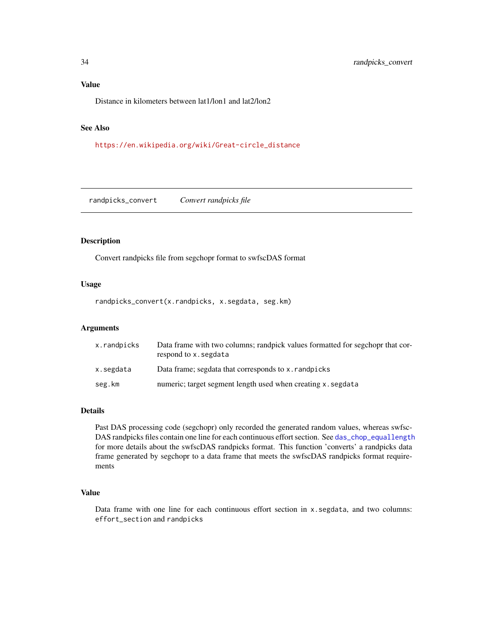## <span id="page-33-0"></span>Value

Distance in kilometers between lat1/lon1 and lat2/lon2

## See Also

[https://en.wikipedia.org/wiki/Great-circle\\_distance](https://en.wikipedia.org/wiki/Great-circle_distance)

randpicks\_convert *Convert randpicks file*

## Description

Convert randpicks file from segchopr format to swfscDAS format

#### Usage

randpicks\_convert(x.randpicks, x.segdata, seg.km)

## Arguments

| x.randpicks | Data frame with two columns; randpick values formatted for segchopr that cor-<br>respond to x. segdata |
|-------------|--------------------------------------------------------------------------------------------------------|
| x.segdata   | Data frame; segdata that corresponds to x. randpicks                                                   |
| seg.km      | numeric; target segment length used when creating x. segdata                                           |

## Details

Past DAS processing code (segchopr) only recorded the generated random values, whereas swfsc-DAS randpicks files contain one line for each continuous effort section. See [das\\_chop\\_equallength](#page-7-1) for more details about the swfscDAS randpicks format. This function 'converts' a randpicks data frame generated by segchopr to a data frame that meets the swfscDAS randpicks format requirements

#### Value

Data frame with one line for each continuous effort section in x.segdata, and two columns: effort\_section and randpicks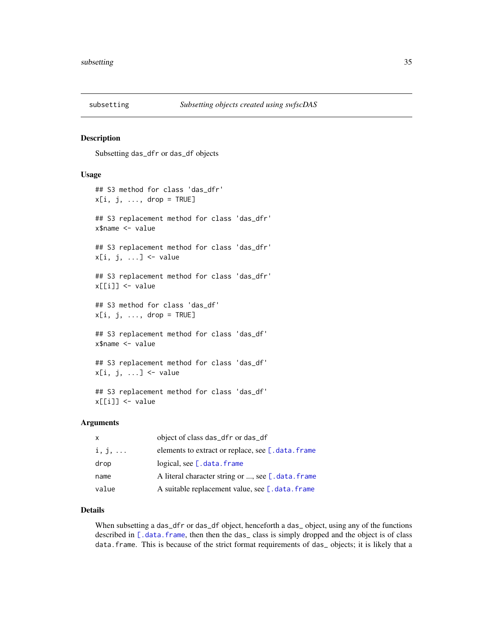<span id="page-34-0"></span>

#### Description

Subsetting das\_dfr or das\_df objects

#### Usage

```
## S3 method for class 'das_dfr'
x[i, j, \ldots, drop = TRUE]## S3 replacement method for class 'das_dfr'
x$name <- value
## S3 replacement method for class 'das_dfr'
x[i, j, ...] <- value
## S3 replacement method for class 'das_dfr'
x[[i]] <- value
## S3 method for class 'das_df'
x[i, j, ..., drop = TRUE]## S3 replacement method for class 'das_df'
x$name <- value
## S3 replacement method for class 'das_df'
x[i, j, ...] <- value
## S3 replacement method for class 'das_df'
x[[i]] <- value
```
#### Arguments

| x              | object of class das_dfr or das_df                 |
|----------------|---------------------------------------------------|
| $i, j, \ldots$ | elements to extract or replace, see [.data.frame] |
| drop           | logical, see $[$ . data. frame                    |
| name           | A literal character string or , see [.data.frame] |
| value          | A suitable replacement value, see [.data.frame]   |

## Details

When subsetting a das\_dfr or das\_df object, henceforth a das\_ object, using any of the functions described in [\[.data.frame](#page-0-0), then then the das\_class is simply dropped and the object is of class data.frame. This is because of the strict format requirements of das\_ objects; it is likely that a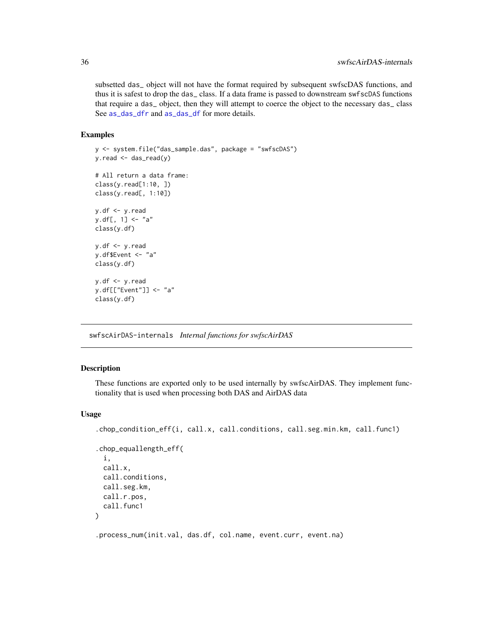subsetted das\_ object will not have the format required by subsequent swfscDAS functions, and thus it is safest to drop the das\_ class. If a data frame is passed to downstream swfscDAS functions that require a das\_ object, then they will attempt to coerce the object to the necessary das\_ class See [as\\_das\\_dfr](#page-2-2) and [as\\_das\\_df](#page-2-1) for more details.

#### Examples

```
y <- system.file("das_sample.das", package = "swfscDAS")
y.read <- das_read(y)
# All return a data frame:
class(y.read[1:10, ])
class(y.read[, 1:10])
y.df <- y.read
y.df[, 1] <- "a"
class(y.df)
y.df \leftarrow y.ready.df$Event <- "a"
class(y.df)
y.df <- y.read
y.df[["Event"]] <- "a"
class(y.df)
```
swfscAirDAS-internals *Internal functions for swfscAirDAS*

#### Description

These functions are exported only to be used internally by swfscAirDAS. They implement functionality that is used when processing both DAS and AirDAS data

#### Usage

```
.chop_condition_eff(i, call.x, call.conditions, call.seg.min.km, call.func1)
.chop_equallength_eff(
  i,
 call.x,
  call.conditions,
 call.seg.km,
 call.r.pos,
 call.func1
)
.process_num(init.val, das.df, col.name, event.curr, event.na)
```
<span id="page-35-0"></span>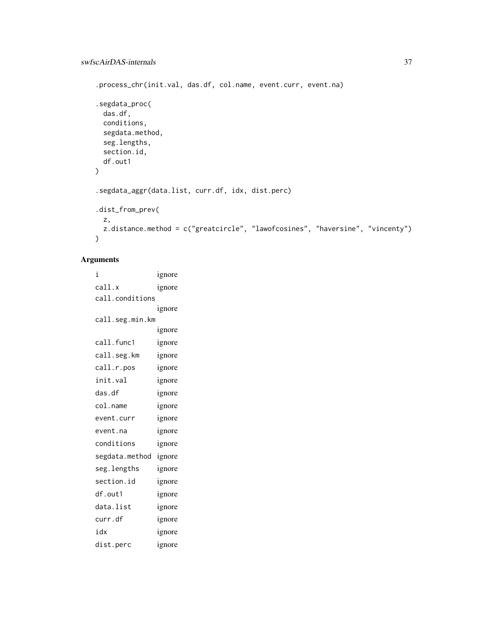```
.process_chr(init.val, das.df, col.name, event.curr, event.na)
.segdata_proc(
 das.df,
  conditions,
  segdata.method,
  seg.lengths,
  section.id,
 df.out1
)
.segdata_aggr(data.list, curr.df, idx, dist.perc)
.dist_from_prev(
 z,
 z.distance.method = c("greatcircle", "lawofcosines", "haversine", "vincenty")
\mathcal{L}
```
## Arguments

i ignore call.x ignore call.conditions ignore call.seg.min.km ignore call.func1 ignore call.seg.km ignore call.r.pos ignore init.val ignore das.df ignore col.name ignore event.curr ignore event.na ignore conditions ignore segdata.method ignore seg.lengths ignore section.id ignore df.out1 ignore data.list ignore curr.df ignore idx ignore dist.perc ignore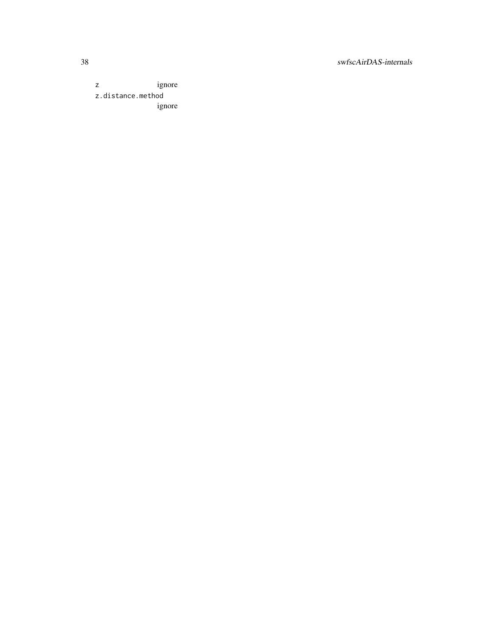z ignore z.distance.method ignore